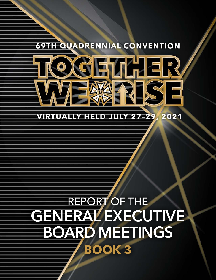## **69TH QUADRENNIAL CONVENTION**



#### **VIRTUALLY HELD JULY 27-29** 2021

# REPORT OF THE **GENERAL EXECUTIVE BOARD MEETINGS BOOK 3**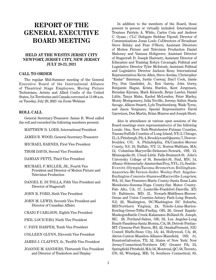## **REPORT OF THE GENERAL EXECUTIVE BOARD MEETING**

#### **HELD AT THE WESTIN JERSEY CITY NEWPORT, JERSEY CITY, NEW JERSEY JULY 20-23, 2021**

#### **CALL TO ORDER**

The regular Mid-Summer meeting of the General Executive Board of the International Alliance of Theatrical Stage Employees, Moving Picture Technicians, Artists and Allied Crafts of the United States, Its Territories and Canada convened at 11:00 a.m. on Tuesday, July 20, 2021 via Zoom Webinar.

#### **ROLL CALL**

General Secretary-Treasurer James B. Wood called the roll and recorded the following members present:

MATTHEW D. LOEB, International President

JAMES B. WOOD, General Secretary-Treasurer

MICHAEL BARNES, First Vice President

THOM DAVIS, Second Vice President

DAMIAN PETTI, Third Vice President

- MICHAEL F. MILLER, JR., Fourth Vice President and Director of Motion Picture and Television Production
- DANIEL E. DI TOLLA, Fifth Vice President and Director of Stagecraft

JOHN R. FORD, Sixth Vice President

JOHN M. LEWIS, Seventh Vice President and Director of Canadian Affairs

CRAIG P. CARLSON, Eighth Vice President

PHIL LOCICERO, Ninth Vice President

C. FAYE HARPER, Tenth Vice President

COLLEEN GLYNN, Eleventh Vice President

JAMES J. CLAFFEY, Jr., Twelfth Vice President

JOANNE M. SANDERS, Thirteenth Vice President and Director of Tradeshow and Display

In addition to the members of the Board, those present in person or virtually included: International Trustees Patricia A. White, Carlos Cota and Andrew C. Oyaas ; CLC Delegate Siobhan Vipond; Director of Communications Jonas Loeb; CoDirectors of Broadcast Steve Belsky and Fran O'Hern; Assistant Directors of Motion Picture and Television Production Daniel Mahoney and Vanessa Holtgrewe; Assistant Director of Stagecraft D. Joseph Hartnett; Assistant Director of Education and Training Robyn Cavanagh; Political and Legislative Director Tyler McIntosh; Assistant Political and Legislative Director Jackson Rees; International Representatives Kevin Allen, Steve Aredas, Christopher "Radar" Bateman, Justin Conway, Dan'l Cook, Jamie Fry, Don Gandolini, Jr., Ron Garcia, John Gorey, Benjamin Hague, Krista Hurdon, Kent Jorgensen, Brendan Kierans, Mark Kiracofe, Brian Lawlor, Daniel Little, Tanya Mahn, Rachel McLendon, Peter Marley, Monty Montgomery, Julia Neville, Jeremy Salter, Stasia Savage, Allison Smartt, Lyle Trachtenberg, Wade Tyree, and Jason Vergnano; Special Representative David Garretson, Don Martin, Brian Munroe and Joseph Short.

Also in attendance at various open sessions of the Board meetings were representative(s) of the following Locals: One, New York-Westchester-Putman Counties, Nassau/Suffolk Counties of Long Island, NY; 2, Chicago, IL; 3, Pittsburgh, PA; 4, Brooklyn and Queens; 7, Denver-Boulder, CO; 8, Philadelphia, PA/Camden-Mercer County, NJ; 10, Buffalo, NY; 11, Boston-Waltham, MA; 12, Columbus-Marysville-Delaware-Newark, OH; 13, Minneapolis-St. Cloud-Little Falls-Brainerd-St. John's University College of St. Benedict-St. Paul, MN; 14, Albany-Schenectady-AmsterdamTroy, NYL; 15, Seattle-Everett-OlympiaTacoma-Bremerton-Bellingham-Anacortes-Mt.Vernon-Sedro Wooley-Port Angeles-Burlington-Concrete-StanwoodMarysville-Longview, WA; 16, San Francisco-Marin County-Santa Rosa-Lake Mendocino-Sonoma-Napa County-San Mateo County-Palo Alto, CA; 17, Louisville-Frankfort-Danville, KY; 19, Baltimore, MD; 21, Newark-Middlesex-Mercer-Ocean and Union Counties-Asbury Park-Long Branch, NJ; 22, Washington, DC/Washington DC Suburbs, MD/Northern Virginia; 24, Toledo-Lima-Marion-Bowling-Green-Tiffin-Findlay, OH; 26, Grand Rapids-MuskegonBattle Creek-Kalamazoo-Holland-St. Joseph, MI; 28, Portland-Salem, OR; 33, Los Angeles-Long Beach-Pasadena-Santa Monica, CA; 38, Detroit-Pontiac-MT. Clemens-Port Huron, MI; 42, OmahaFremont, NE/ Council Bluffs-Sioux City, IA; 44, Hollywood, CA; 48, Akron-Canton-Massilon-Alliance-Mansfield, OH; 51, HoustonGalveston, TX; 52, States of New York/ New Jersey/Connecticut/Northern DE/ Greater PA; 53, Springfield-Pittsfield, MA; 56, Montreal, QC; 58, Toronto, ON; 63, Winnipeg, MB; 74, Southern Connecticut; 85,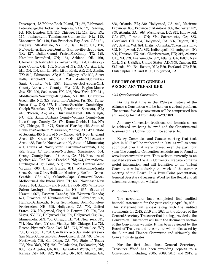Davenport, IA/Moline-Rock Island, IL; 87, Richmond-Petersburg-Charlottsville-Emporia, VAA; 97, Reading, PA; 105, London, ON; 110, Chicago, IL; 113, Erie, PA; 115, Jacksonville-Tallahassee-Gainesville, FL; 118, Vancouver, BC; 119, San Francisco Bay Area, CA; 121, Niagara Falls-Buffalo, NY; 122, San Diego, CA; 126, Ft.Worth-Arlington-Denton-Gainesville-Grapevine, TX; 127, Dallas-Grand PrairieMcKinney, TX; 129, Hamilton-Brantford, ON; 154, Ashland, OR; 160, Cleveland-Ashtabula-Lorain-Elyria-Sandusky-Erie County, OH; 161, States of NY, NJ, CT, AL, LA, MI, OH, TN, and IL; 204, Little Rock, AR; 205, Austin, TX; 210, Edmonton, AB; 212, Calgary, AB; 220, Sioux Falls/ Mitchell/Huron, SD; 251, MadisonColumbia-Sauk County, WI; 283, Hanover-Gettysburg-York County-Lancaster County, PA; 295, Regina-Moose Jaw, SK; 300, Saskatoon, SK, 306, New York, NY; 311, Middletown-Newburgh-Kingston, NY; 322, Charlotte-Greenville, NC; 329, Scranton-Pittston, PA; 354, Tulsa-Ponca City, OK; 357, KitchenerStratford-Cambridge-Guelph-Waterloo, ON; 412, Bradenton-Sarasota, FL; 415, Tucson, AZ; 417, Durham-Chapel Hill-Raleigh, NC; 442, Santa Barbara County-Ventura County-San Luis Obispo County, CA; 474, Rome-Oneida-Utica, NY; 476, Chicago, IL; 477, State of Florida; 478, State of Louisiana/Southern Mississippi/Mobile, AL; 479, State of Georgia; 480, State of New Mexico; 481, New England Area; 484, States of TX and OK; 487, Mid-Atlantic Area; 488, Pacific Northwest; 490, State of Minnesota; 491, States of North/South Carolina-Savannah, GA; 492, State Of Tennessee/Northern Mississippi; 504, Orange County-Parts of Corona, CA; 514, Province of Quebec; 536, Red Bank-Freehold, NJ; 574, Greensboro-Burlington-High Point, NC; 578, North Central West Virginia; 600, United States; 611, Watsonville-Santa Cruz-Salinas-GilroyHollister-Monterey-Pacific Grove-Seaside, CA; 631, Orlando-Cape CanaveralCocoa-Melbourne-Lake Buena Vista, FL; 632, Northeast New Jersey; 634, Sudbury and North Bay, ON; 635, Winston-Salem-Lexington-Thomasville, NC; 665, State of Hawaii; 667, Eastern Canada; 669, Western Canada; 671, Province of Newfoundland and Labrador; 680, Halifax-Dartmouth, Nova Scotia/Saint John-Moncton-Fredericton, NB; 695, Hollywood, CA; 700, United States; 705, Hollywood, CA; 719, Denver, CO; 720, Las Vegas, NV; 728, Hollywood, CA; 729, Hollywood, CA; 745, Minneapolis, MN; 750, Chicago, IL; 751, New York, NY; 764, New York, NY and Vicinity; 769, Chicago, IL; 775, Boston-Plymouth-Cape Cod, MA; 777, Milwaukee, WI; 780, Chicago, IL; 784, San Francisco-Oakland-Berkeley-San MateoCupertino-San Jose-Concord, CA; 793, Pacific Northwest; 795, San Diego, CA; 796, State of Texas; 798, New York, NY; 799, Philadelphia, Pa/Camden, NJ; 800, Los Angeles, CA; 803, Dallas-Fort Worth, TX; 810, Kansas City, MO; 822, Toronto, ON; 834, Atlanta, GA; 835, Orlando, FL; 839, Hollywood, CA; 849, Maritime Provinces; 856, Province of Manitoba; 858, Rochester, NY; 859, Atlanta, GA; 868, Washington, DC; 871, Hollywood, CA; 873, Toronto, ON; 874, Sacramento, CA; 883, Cleveland, OH; 884, Hollywood, CA; 886, Dayton, OH; 887, Seattle, WA; 891, British Columbia/Yukon Territory; 892, Hollywood, CA; 893, Indianapolis-Bloomington, IN; 896, Houston, TX; 906, Charlottetown, PE; 917, Atlantic City, NJ; 923, Anaheim, CA; 927, Atlanta, GA; 18032, New York, NY; USA829, United States; ADC659, Canada; B2, St.Louis, Mo; B4, Boston, MA; B20, Portland, OR; B29, Philadelphia, PA; and B192, Hollywood, CA.

#### **REPORT OF THE GENERAL SECRETARY-TREASURER**

#### *69th Quadrennial Convention*

For the first time in the 128-year history of the Alliance a Convention will be held on a virtual platform. The normal five-day convention will be compressed into a three-day format from July 27-29, 2021.

As many Convention traditions and formats as can be achieved are being followed and the Constitutional business of the Convention will be adhered to.

Every Committee and Caucus meeting that took place in 2017 will be replicated in 2021 as well as some additional ones that were formed over the past four year. The complete Convention schedule can be found at www.iatseconvention.com. That website currently is an updated version of the 2017 Convention website, contains useful information, and will transition to the Virtual Convention website during the week of the summer meeting of the Board. In a PowerPoint presentation, General Secretary-Treasurer Wood led the Board and all attendees through the website.

#### *Financial Review*

The accountants have completed final audited financial statements for the year ending April 30, 2021. This statement will appear along with the audited statements for 2018, 2019 and 2020 in the Report of the General Secretary-Treasurer that is being provided to the Convention. This report will be in the documents section of the Convention website. It has been reviewed by the Board of Trustees and its contents will be discussed by the Audit and Finance Committee and ultimately the Convention delegates.

For the first time since General Secretary-Treasurer Wood has been providing reports to a Convention, including 2005, 2009, 2013 and 2017, a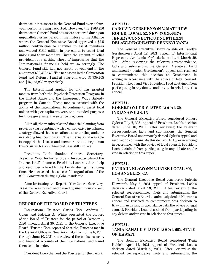decrease in net assets in the General Fund over a fouryear period is being reported. However, the \$768,726 decrease in General Fund net assets occurred during an unparalleled crisis period in the history of the Alliance where the General Executive Board approved a \$2.5 million contribution to charities to assist members and waived \$13.0 million in per capita to assist local unions and their members. Given the amount of relief provided, it is nothing short of impressive that the International's financials held up so strongly. The General Fund still had net assets at year-end in the amount of \$36,472,957. The net assets in the Convention Fund and Defense Fund at year-end were \$7,739,708 and \$15,153,239 respectively.

The International applied for and was granted monies from both the Paycheck Protection Program in the United States and the Emergency Wage Subsidy program in Canada. These monies assisted with the ability of the International to continue to assist local unions with per capita waivers, the intended purposes for those government assistance programs.

All in all, the results of sound financial planning from previous years combined with a conservative investment strategy allowed the International to enter the pandemic in a strong financial position. The International was able to support the Locals and members and emerge from this crisis with a solid financial base still in place.

President Loeb thanked General Secretary-Treasurer Wood for his report and his stewardship of the International's finances. President Loeb noted the help and resources offered to the Locals during this trying time. He discussed the successful organization of the 2021 Convention during a global pandemic.

A motion to adopt the Report of the General Secretary-Treasurer was moved, and passed by unanimous consent of the General Executive Board.

#### **REPORT OF THE BOARD OF TRUSTEES**

International Trustees Carlos Cota, Andrew C. Oyaas and Patricia A. White presented the Report of the Board of Trustees for the period of October 1, 2020 through April 30, 2021 to the General Executive Board. Trustee Cota reported that the Trustees met in the General Office in New York City from June 8, 2021 through June 10, 2021 had reviewed the books, records, and financial accounts of the International and found them to be in order.

President Loeb thanked the Trustees for their work.

### **APPEAL:**

#### **CAROLYN GERSHENSON V. MATTHEW ROPER, LOCAL 52, NEW YORK/NEW JERSEY/CONNECTICUT/NORTHERN DELAWARE/GREATER PENNSYLVANIA**

The General Executive Board considered Carolyn Gershenson's April 12, 2021 appeal of International Representative Jamie Fry's decision dated March 29, 2021. After reviewing the relevant correspondence, facts and submissions, the General Executive Board unanimously denied Gershenson's appeal and resolved to communicate this decision to Gershenson in writing in accordance with the advice of legal counsel. President Loeb and Vice President Ford abstained from participating in any debate and/or vote in relation to this appeal.

#### **APPEAL: ROBERT OYLER V. IATSE LOCAL 30, INDIANAPOLIS, IN**

The General Executive Board considered Robert Oyler's July 7, 2021 appeal of President Loeb's decision dated June 18, 2021. After reviewing the relevant correspondence, facts and submissions, the General Executive Board unanimously denied Oyler's appeal and resolved to communicate this decision to Oyler in writing in accordance with the advice of legal counsel. President Loeb abstained from participating in any debate and/or vote in relation to this appeal.

#### **APPEAL:**

#### **PATRICIA KLAWONN V. IATSE LOCAL 800, LOS ANGELES, CA**

The General Executive Board considered Patricia Klawonn's May 6, 2021 appeal of President Loeb's decision dated April 23, 2021. After reviewing the relevant correspondence, facts and submissions, the General Executive Board unanimously denied Klawonn's appeal and resolved to communicate this decision to Klawonn in writing in accordance with the advice of legal counsel. President Loeb abstained from participating in any debate and/or vote in relation to this appeal.

#### **APPEAL:**

#### **TANIA KAHALE V. IATSE LOCAL 665, STATE OF HAWAI'I**

The General Executive Board considered Tania Kahle's April 12, 2021 appeal of President Loeb's decision dated March 9, 2021. After reviewing the relevant correspondence, facts and submissions, the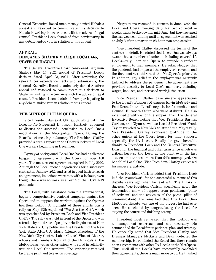General Executive Board unanimously denied Kahale's appeal and resolved to communicate this decision to Kahale in writing in accordance with the advice of legal counsel. President Loeb abstained from participating in any debate and/or vote in relation to this appeal.

#### **APPEAL: BENJAMIN SHAFER V. IATSE LOCAL 665, STATE OF HAWAI'I**

The General Executive Board considered Benjamin Shafer's May 17, 2021 appeal of President Loeb's decision dated April 23, 2021. After reviewing the relevant correspondence, facts and submissions, the General Executive Board unanimously denied Shafer's appeal and resolved to communicate this decision to Shafer in writing in accordance with the advice of legal counsel. President Loeb abstained from participating in any debate and/or vote in relation to this appeal.

#### **THE METROPOLITAN OPERA**

Vice President James J. Claffey, Jr. along with Co-Director for Stagecraft D. Joseph Hartnett, appeared to discuss the successful conclusion to Local One's negotiations at the Metropolitan Opera. During the Board's last meeting in January, Vice President Claffey provided a status report on the Opera's lockout of Local One workers beginning in December.

By way of background, Local One has had a collective bargaining agreement with the Opera for over 100 years. The most recent agreement expired in July 2020. Although the Local opened negotiations for a successor contract in January 2020 and tried in good faith to reach an agreement, its actions were met with a lockout, even though there was no work as a result of the COVID-19 pandemic.

The Local, with assistance from the International, began a comprehensive contract campaign against the Opera and to support the workers against the Opera's heartless lockout. A highlight of these efforts was a rally on May 13th captioned "We Are the Met", which was spearheaded by President Loeb and Vice President Claffey. The rally was held in front of the Opera and was attended by hundreds of people, including dozens of New York State and City politicians, the President of the New York State AFL-CIO Mario Cilento, President of the New York City Central Labor Council Vincent Alvarez, officers and members from all of the IA Locals at the MetOpera as well as other unions who stood in solidarity with the Local One workers. The gathering received favorable print and television coverage.

Negotiations resumed in earnest in June, with the Local and Opera meeting daily for two consecutive weeks. Talks broke down in mid-June, but they resumed the last week continuing until an agreement was reached on July 2 after a marathon 22-hour, non-stop session.

Vice President Claffey discussed the terms of the contract in detail. He stated that Local One was always aware that a number of unions—including several IA Locals—rely upon the Opera to provide significant employment to their members. He acknowledged that the pandemic had impacted the employer's revenue and the final contract addressed the MetOpera's priorities. In addition, any relief to the employer was narrowly tailored to address the pandemic. The agreement also provided security to Local One's members, including wages, bonuses, and increased work jurisdiction.

Vice President Claffey gave sincere appreciation to the Local's Business Managers Kevin McGarty and Paul Dean, Jr., the Local's negotiations' committee and Counsel Elizabeth Orfan who were stalwart. He also extended gratitude for the support from the General Executive Board, noting that Vice Presidents Barnes, Carlson, and Glynn as well as Local 2 President Frank Taylor traveled to New York to attend the May 7 rally. Vice President Claffey expressed gratitude to the other unions at the Opera house for their support, especially the IA Locals. Finally, he gave heartfelt thanks to President Loeb and the General Executive Board for the financial and other assistance which was critical because the Local at one point over the last sixteen months was more than 94% unemployed. On behalf of Local One, Vice President Claffey expressed his sincere gratitude.

Vice President Carlson added that President Loeb laid the groundwork for the successful outcome of this dispute years ago when he lead with The Pillars of Success. Vice President Carlson specifically noted the tremendous show of support from politicians (pillar of activism) and the activities of the press (pillar of communication). He remarked that this Local One-MetOpera dispute was one of the biggest he had ever seen. He concluded by congratulating the Local for staying the course and finishing strong.

President Loeb remarked that this lockout was a management overreach and not necessary. He commended the Local for its patience, plan, and strategy. He especially noted that Vice President Claffey, and Business Managers McGarty and Dean protected the membership. He reminded the Board that there remain open agreements with other IA Locals at the MetOpera. Thus, until all the Locals have successfully concluded their agreements, there is much more to do. He thanked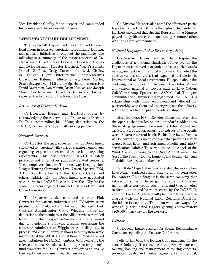Vice President Claffey for the report and commended his resolve and the successful outcome.

#### **IATSE STAGECRAFT DEPARTMENT**

The Stagecraft Department has continued to assist local unions in contract negotiations, organizing, training, and activism initiatives throughout the pandemic. The following is a summary of the major activities of Co-Department Director Vice President President Barnes and Co-Department Director Hartnett, Vice Presidents Daniel Di Tolla, Craig Carlson, James J. Claffey, Jr., Colleen Glynn; International Representatives Christopher Bateman, Allison Smart, Peter Marley, Stasia Savage, Daniel Little, and Special Representatives David Garretson, Don Martin, Brian Munroe, and Joseph Short. Co-Department Directors Barnes and Hartnett reported the following to the Executive Board.

#### *Retirement of Director Di Tolla*

Co-Directors Barnes and Hartnett began by acknowledging the retirement of Department Director Di Tolla commending his lifelong dedication to the IATSE, its membership, and all working people.

#### *National Contracts*

Co-Director Hartnett reported that the Department continued to negotiate with various signatory employers regarding expired or extended collective bargaining agreements. This also included COVID-19 safety protocols and other other pandemic related concerns. These employers include The Broadway League, Non-League Touring Companies, Live Nation, Spectra, Feld, ABT, VStar Entertainment, the Barclay's Center and others. Additionally, the Department also negotiated with the various IATSE Locals in New York City for the streaming recordings of Diana, A Christmas Carol, and Come From Away.

The Department also continued to issue Pink Contracts for various industrials and TV/Award show productions. Co-Director Hartnett thanked Pink Contract Administrator Cathy Wiggins, noting her dedication to the members of the Alliance who scrambled to return to their respective homes when tours ceased due to pandemic shutdowns. Besides processing the contracts Administrator Wiggins worked diligently to process and close all touring shows in our system while insuring that the IATSE National Benefit Funds received all contributions for IATSE members before clearing the release of bonds. She also assisted in processing benefit fund transfers for Pink Contract employees to ensure they kept their local union health insurance.

Co-Director Hartnett also noted the efforts of Special Representative Brian Munroe throughout the pandemic. Hartnett explained that Special Representative Munroe played a significant role in facilitating communication with Pink Contract members.

#### *National Employers/Labor Broker Organizing*

Co-Director Barnes reported that despite the challenges of a national shutdown of live events, the Department continued to organize and also push towards new agreements with national employers. He noted the various venues and cities that expanded jurisdiction in International or Local agreements. He spoke about the contining communication between the International and various national employers such as Live Nation, Oak View Group, Spectra, and ASM Global. The open communication further strengthened the IATSE's relationship with these employers and allowed for partnerships with them and other groups in the industry, with whom we had no previous relationship.

Most importantly, Co-Director Barnes reported that the open exchanges led to area standards addenda to the existing agreement between the International and Tri State Stage Labor, ensuring hundreds of live events workers across several iconic Pacific Northwest Venues will be covered by a union contract that provides higher wages, better health and retirement benefits, and safety/ certification training. These venues include Angels of the Wind Arena, ShoWare, White River Amphitheater, The Gorge, the Tacoma Dome, Lumen Field (Seahawks), and T-Mobile Park (Seattle Mariners).

Tri State Stage Labor was awarded the work when Live Nation replaced Rhino Staging as the contractor. For context, Rhino Staging is the same company that refused to come to the bargaining table in 2018, even months after workers in Washington and Oregon voted to form a union and be represented by the IATSE. In addition, the IATSE filled multiple unfair labor practice charges with the National Labor Relations Board for the failure to negotiate. The union won back wages for wrongfully terminated riggers getting approximately \$200,000 in backpay for the workers.

#### *PollStar*

Co-Director Barnes reported for Special Representative Garettson regarding the Pollstar Conference.

Pollstar has been the leading trade magazine for the concert industry. It is considered the primary source of touring, booking and management of touring concerts, promoter deals and venue agreements for global,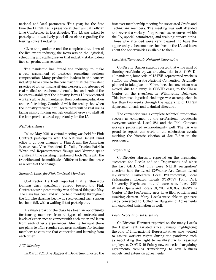national and local promoters. This year, for the first time the IATSE had a presence at their annual Pollstar Live Conference in Los Angeles. The IA was asked to participate in two lively panel discussions regarding the touring concert industry.

Given the pandemic and the complete shut down of the live events industry, the focus was on the logistical, scheduling and staffing issues that industry stakeholders face as productions resume.

The pandemic has forced the industry to make a real assessment of practices regarding workers compensation. Many production leaders in the concert industry have come to the conclusion that the prevalent practice of either misclassifying workers, and absence of real medical and retirement benefits has undermined the long term stability of the industry. It was IA represented workers alone that maintained their continuing education and craft training. Combined with the reality that when the industry returns in full force there will be real issues facing simply finding enough qualified crews to staff all the jobs provides a real opportunity for the IA.

#### *NBF Assistance*

In late May 2021, a virtual meeting was held for Pink Contract participants with the National Benefit Fund office to go over changes to Plan A and the American Rescue Act. Vice President Di Tolla, Trustee Patricia White and Representatives Savage and Munroe spent significant time assisting members of both Plans with the transition and the multitude of different issues that arose as a result of the change.

#### *Stewards Class for Pink Contract Members*

Co-Director Hartnett reported that a Steward's training class specifically geared toward the Pink Contract touring community was debuted this past May. The class has been and will be held monthly throughout the fall. The class has been well received and each session has been full, with a waiting list of participants.

A valuable part of the class has been an opportunity for touring members from all types of contracts and levels of experience to connect with each other and learn from each other's experiences. Moving forward there are plans to offer regular stewards meetings for touring members to continue that connection and learning from each other.

#### *ACT Meeting*

In March 2021, the Stagecraft Department hosted the

first ever membership meeting for Associated Crafts and Technicians members. The meeting was well attended and covered a variety of topics such as resources within the IA, special committees, and training opportunities. Those who attended were very pleased to have the opportunity to become more involved in the IA and learn about the opportunities available to them.

#### *Local 284/Democratic National Convention*

Co-Diretor Barnes stated reported that while most of the stagecraft industry was shut down due to the COVID-19 pandemic, hundreds of IATSE represented workers staffed the Democratic National Convention. Originally planned to take place in Milwaukee, the convention was moved, due to a surge in COVID cases, to the Chase Center on the riverfront in Wilmington, Delaware. This immense logistical challenge was accomplished in less than two weeks through the leadership of IATSE department heads and technical directors .

The convention was a complete technical production success as confirmed by the professional broadcasts everyone watched. Local 284 and the Pink Contract workers performed extraordinarily well. The IA was proud to repeat this work in the celebration events marking the historic election of Joe Biden to the presidency.

#### *Organizing*

Co-Director Hartnett reported on the organizing successes the Locals and the Department had since the last GEB. Not only were NLRB recognition/ elections held for Local 13/Walker Art Center, Local 28/Portland Trailblazers, Local 12/Promowest, Local 22/Signature Theater, Locals 3/489/787 Point Park University Playhouse, but all were won. Local 798/ Atlanta Opera and Locals 33, 706, 768, 857, 884/Wallis Center of the Performing Arts have filed petitions and awaiting election. Many Locals were able to get rate cards converted to Collective Bargaining Agreements and expanded jurisdiction as well.

#### *Local Negotiations/Assistance*

Co-Director Hartnett reported on the many Locals the Department assisted since January highlighting the role of International Representatives who worked to assure workers rights during the pandemic such as negotiating the right to recall/return for seasonal employees, COVID-19 Safety, new collective bargaining agreements, venues transitioning to new business models, and extension agreements.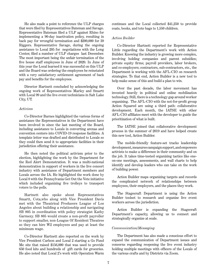He also made a point to reference the ULP charges that were filed by Representatives Bateman and Savage. Representative Bateman filed a ULP against Rhino for implementing a 90-day inactivation policy, resulting in back pay for wrongful termination and \$200,000 for 39 Riggers. Representative Savage, during the ongoing assistance to Local 205 for negotiations with the Long Center, filed a number of ULP charges last December. The most important being the unfair termination of the five house staff employees in June of 2020. In June of this year the Local learned it was successful on this ULP and the Board was ordering the employees be reinstated with a very satisfactory settlement agreement of back pay and benefits for the employees.

Director Hartnett concluded by acknowledging the ongoing work of Representatives Marley and Smartt with Local 99 and the live event technicians in Salt Lake City, UT.

#### *Activism*

Co-Director Barnes highlighted the various forms of assistance the Representatives in the Department have been involved in since the last meeting of the Board, including assistance to Locals in converting arenas and convention centers into COVID-19 response facilities. A template letter was drafted and distributed to Locals so they could then send it to appropriate facilities in their jurisdiction offering their assistance.

He then noted the political activism prior to the election, highlighting the work by the Department for the Red Alert Demonstration. It was a multi-national demonstration in support of workers in the live concert industry with assistance of Department members and Locals across the IA. He highlighted the work done by Local 8 with the Pennsylvania Get Out the Vote initiative which included organizing five trolleys to transport voters to the polls.

Hartnett also spoke about Representatives Smartt, Cota,who along with Vice President Davis met with the Theatrical Producers League of Los Angeles about building a relationship and navigating SB 805 in coordination with policy strategist Kathy Garmezy. SB 805 would create a non-profit payroller to support smaller, non-League Of Resident Theatres so they can hire W2 employees and pay at least the minimum wage.

Co-Director Hartnett also reported on the work by Vice President Carlson and Local 2 starting a Go Fund Me site that raised \$156,000 that was used to provide 650 food kits and hundreds of gift cards for groceries. He also noted that Local 2's work with Operation Warm continues and the Local collected \$41,250 to provide coats, books, and tote bags to 1,550 children.

#### *Action Builder*

Co-Director Hartnett reported for Representative Little regarding the Department's work with Action Builder. Knowing the industry is growing more complex, involving holding companies and parent subsidies; private equity firms; payroll providers, labor brokers, and co-employers; contractors, sub-contractors, etc., the Department is working with the AFL-CIO on research strategies. To that end, Action Builder is a new tool to help make sense of this and build a plan to win.

Over the past decade, the labor movement has invested heavily in political and online mobilization technology. Still, there is a technology gap around worker organizing. The AFL-CIO with the not-for-profit group Action Squared are using a third path: collaborative development. Each month, the IATSE with other AFL-CIO affiliates meet with the developer to guide the prioritization of what is built.

The IATSE joined that collaborative development process in the summer of 2019 and have helped create this new tool, Action Builder.

The mobile-friendly feature-set tracks leadership development, measures campaign support, and empowers activists to make a difference in their community and on the job. It takes time-tested organizing tactics like oneon-one meetings, assessments, and wall charts to help identify and develop leaders who can take on the work of building power.

Action Builder maps organizing targets and records the complicated network of relationships between employees, their employers, and the places they work.

The Stagecraft Department is using the Action Builder toolset to research and organize live event workers across the jurisdiction.

Action Builder is expanding the Stagecraft Department's capacity, allowing us to connect and strategically organize at scale.

#### *Communication/Messaging*

The Department has also made a conscious effort to expand the communication of Department issues and concerns regarding reopening the live event industry holding multiple meetings with officers of the Locals of the various crafts and by Districts via Zoom.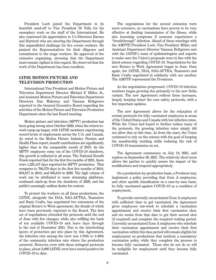President Loeb joined the Department in its heartfelt send-off to Vice President Di Tolla for his exemplary work on the staff of the International. He also expressed his appreciation to Co-Directors Barnes and Hartnett who are steering the Department through this unparalleled challenge for live events workers. He praised the Representatives for their diligence and commitment to the stage workers. He approved of the extensive organizing, stressing that the Department must remain vigilant in this regard. He observed that the work of the Department has been excellent.

#### **IATSE MOTION PICTURE AND TELEVISION PRODUCTION**

International Vice President and Motion Picture and Television Department Director Michael F. Miller, Jr., and Assistant Motion Picture and Television Department Directors Dan Mahoney and Vanessa Holtgrewe reported to the General Executive Board regarding the activities of the Motion Picture and Television Production Department since the last Board meeting.

Motion picture and television (MPTV) production has been going strong since October 2020, when the return-towork ramp-up began, with IATSE members experiencing record levels of employment across the U.S. and Canada. As noted in the Motion Picture Industry Pension and Health Plans report, benefit contributions are significantly higher than in the comparable month of 2019. As the MPTV employers come out of the COVID-19 shutdown, this growth is reflected in all areas. The National Benefit Funds reported that for the first five months of 2021, there were 1,225,147 days reported for MPTV production. That compares to 766,579 days in the first five months of 2018, 884,017 in 2019, and 605,619 in 2020. The high volume of work can be attributed to more streaming platforms, continued catch-up from the shutdown of 2020, and the public's seemingly endless desire for content.

To protect the workers on all these productions, the IATSE, alongside the DGA, SAG-AFTRA, Teamsters and Basic Crafts, has negotiated two extensions of the original Return to Work agreement, the details of which have been previously reported to the Board. The first set of negotiations extended the protocols until the end of June with few changes, while also refilling the bank of ten available COVID-19 sick leave days through to the end of December 2021. Due to the interlocking layers of protection put into place by this Agreement, the infection rate among the crew was 1/10th to 1/40th of the community infection rate where the production occurred. However, even with these stringent protocols in place, about 3,800 IATSE crew have tested positive for COVID-19 to date.

The negotiations for the second extension were more extensive, as vaccinations have proven to be very effective at limiting transmission of the illness, while also lessening symptoms if someone experiences a "breakthrough" infection. Ahead of these meetings with the AMPTP, President Loeb, Vice President Miller, and Assistant Department Director Vanessa Holtgrewe met with the IATSE's team of epidemiologists and experts to make sure the Union's proposals were in line with the latest science regarding COVID-19. Negotiations for the new Return to Work Agreement began in June. Once again, the IATSE, DGA, SAG-AFTRA, Teamsters and Basic Crafts negotiated in solidarity with one another. The AMPTP represented the Producers.

As the negotiations progressed, COVID-19 infection numbers began growing due primarily to the new Delta variant. The new Agreement reflects these increases, largely keeping intact the core safety protocols, with a few important updates.

The new Agreement allows for the relaxation of certain protocols for fully vaccinated employees in areas of the United States and Canada with low infection rates. While the Union had hoped to further reduce many of the protocols, the growing infection rates simply did not allow that at this time. As from the start, the Union continued to rely on the science with the goal of keeping the membership working while reducing the risk of COVID-19 transmission on set.

The Agreement commences on July 19, 2021, and expires on September 30, 2021. The relatively short term allows the parties to quickly assess the impact of the modifications and respond appropriately.

On a production-by-production basis, a Producer may implement a policy providing that Zone A employees, and other specific classification on a case-by-case basis, be fully vaccinated against COVID-19 as a condition of employment.

To provide currently unvaccinated Zone A employees with sufficient time to get vaccinated, the Agreement gives employees one-week to schedule a vaccination appointment and receive their first vaccination shot, and six weeks from that date to get their second shot (if required) and complete the required waiting period. Currently unvaccinated Zone A employees who schedule their vaccination appointment and receive their first vaccination within this time period will remain eligible for employment on productions that institute a mandatory vaccination policy while they complete the process to become fully vaccinated. Those who do not do so will be ineligible for employment until they become fully vaccinated.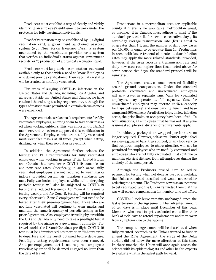Producers must establish a way of clearly and visibly identifying an employee's entitlement to work under the protocols for fully vaccinated individuals.

Proof of vaccination may be established by 1) a digital vaccination card, a government sanctioned passport system (e.g., New York's Excelsior Pass), a system maintained by the vaccination provider, or a system that verifies an individual's status against government records; or 2) production of a physical vaccination card.

Producers must keep such documentation secure and available only to those with a need to know. Employees who do not provide verification of their vaccination status will be treated as not fully vaccinated.

For areas of surging COVID-19 infections in the United States and Canada, including Los Angeles, and all areas outside the United States and Canada, we have retained the existing testing requirements, although the types of tests that are permitted in certain circumstances were expanded.

The Agreement does relax mask requirements for fully vaccinated employees, allowing them to take their masks off when working outdoors. This was important to IATSE members, and the science supported this modification to the Agreement. Employees who are not fully vaccinated must wear face masks at all times (except when eating, drinking, or when their job duties prevent it).

In addition, the Agreement further relaxes the testing and PPE requirements for fully vaccinated employees when working in areas of the United States and Canada that have lower COVID-19 transmission and new case rates. Specifically, in such areas, fully vaccinated employees are not required to wear masks indoors provided certain air filtration standards are met. Fully vaccinated employees, while still undergoing periodic testing, will also be subjected to COVID-19 testing at a reduced frequency. For Zone A, this means testing weekly, and for Zone B, testing will be required every other week. Zone C employees will not need to be tested after their pre-employment test. Those who are not fully vaccinated will continue to wear masks and maintain the same frequency of periodic testing as the prior Agreement. Also, employees traveling by air within the US and Canada only need to take a pre-flight test if required by the airline or a government authority. For travel outside the US and Canada, a pre-flight COVID-19 test must be administered not more than 72-hours prior to departure and the result obtained before departure. Post-flight testing requirements have been removed. As a pre-employment test is not required, employees traveling by air shall be deemed engaged no later than the date of travel.

Productions in a metropolitan area (or applicable county if there is no applicable metropolitan area), or province, if in Canada, must adhere to most of the standard protocols if, for seven consecutive days, its seven-day average transmission rate (Rt) is equal to or greater than 1.1, and the number of daily new cases per 100,000 is equal to or greater than 10. Productions in areas with lower transmission rates and/or infection rates may apply the more relaxed standards; provided, however, if the area records a transmission rate and daily new case rate higher than those listed above for seven consecutive days, the standard protocols will be reinstated.

The Agreement creates some increased flexibility around ground transportation. Under the standard protocols, vaccinated and unvaccinated employees will now travel in separate vans. Vans for vaccinated employees may operate at full capacity. Vans for unvaccinated employees may operate at 75% capacity for trips between set and crew parking, lunch, and base camp, and 50% capacity for all other trips. In low infection areas, the prior limits on occupancy have been lifted. In both situations, all employees must be masked. If anyone is unmasked, physical distancing requirements apply.

Individually packaged or wrapped portions are no longer required. However, self-serve "buffet style" food service (e.g., salad bars, trays of food, or any food service that requires employees to share utensils), will not be permitted for employees who are not fully vaccinated, and employees who are not fully vaccinated must continue to maintain physical distance from all employees during the entirety of the meal period.

Although the Producers pushed hard to reduce payment for testing when not done as part of a workday, the Unions remained steadfast and would not consider reducing the amount. The Producers saw it as an incentive to get vaccinated, and the Unions reminded them that this was well-earned compensation for member time and effort.

COVID-19 sick leave remains unchanged since the last extension of the Agreement. The refreshed amount of ten days is in place until December of this year. Members who need to get vaccinated can utilize their bank of sick leave to attend appointments and to recover from symptoms due to the vaccine.

The complete Agreement will be distributed when fully executed. As much as the Unions wanted to further amend the RTW Agreement, the surge of the Delta variant did not allow for more alteration at this time. In three months, the Union will once again assess the science with its epidemiologists and other health experts to evaluate what is the safest path forward.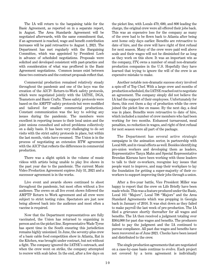The IA will return to the bargaining table for the Basic Agreement, as reported on in a separate report, in August. The Area Standards Agreement will be negotiated afterwards, with the same commitment that, if an agreement is reached, wage and benefit contribution increases will be paid retroactive to August 1, 2021. The Department has met regularly with the Bargaining Committee, which was appointed by President Loeb in advance of scheduled negotiations. Proposals were solicited and developed consistent with past-practice and with consideration of what was proffered in the Basic Agreement negotiations. Common issues exist between these two contracts and the contract proposals reflect that.

Commercial production remained relatively steady throughout the pandemic and one of the keys was the creation of the AICP- Return-to-Work safety protocols, which were negotiated jointly with the IATSE, DGA, Teamsters and Basic Crafts. These safety protocols were based on the AMPTP safety protocols but were modified and tailored for smaller commercial productions. Constant communication was the key to solving any issues during the pandemic. The members were excellent in reporting issues to their local union and the joint unions consulted and solved problems collectively on a daily basis. It has been very challenging to do set visits with the strict safety protocols in place, but within the last month, visits have resumed. The Union is in the process of negotiating an extension RTW agreement with the AICP that reflects the differences in commercial production.

There was a slight uptick in the volume of music videos with artists being unable to play live shows in the past year due to the pandemic. The current Music Video Production Agreement expires July 31, 2021 and a successor agreement is in the works.

Live event and awards shows continued to shoot throughout the pandemic, but most often without a live audience. The crews on all live event shows followed the AMPTP Return to Work agreement and all crew were subject to strict testing rules. Spectators are just now being allowed back into the audience and most often a vaccine is required.

Now that the Department representatives are fully vaccinated, the Union has returned to organizing in person and on the picket line. Representative Wade Tyree has spent time in the South ensuring this jurisdiction remains highly unionized. In June, the seventy-plus crew of a basic cable food competition show in Atlanta, Rat in the Kitchen, was brought under contract, but not without a fight. The company ignored the IATSE's outreach, and when the crew went on strike, the company attempted to recrew with scab labor. In the end, after a few days on

the picket line, with Locals 479, 600, and 800 leading the charge, the original crew were all offered their jobs back. This was an expensive loss for the company as many of the crew had to be flown back to Atlanta after being sent home only days earlier. Benefits are retroactive to date of hire, and the crew will have right of first refusal for next season. Many of the crew were paid well above scale and their wages will not be diminished for as long as they work on this show. It was an important win as the company, ITV, owns a number of small non-dramatic production companies in the U.S. Hopefully they have learned that trying to ignore the will of the crew is an expensive mistake to make.

Another notable non-dramatic success story involved a spin-off of Top Chef. With a large crew and months of production scheduled, the IATSE reached out to negotiate an agreement. The company simply did not believe the IA had the support of their employees. Unfortunately for them, this cost them a day of production while the crew joined the picket line en masse. By the next day, a deal was in place. Benefits were retroactive to date of hire, which included a number of crew members who had been working for two months. Enhanced turnaround, meal penalties, no reduction in wages, and right of first refusal for next season were all part of the package.

The Department has several active strategic campaigns in the animation sector, in partnership with Local 839, and in visual effects as well. Besides identifying pro-union workers and developing them as leaders, Representative Tanya Mahn and Special Representative Brendan Kierans have been working with these leaders to talk to their co-workers, recognize key issues that people want to improve, and map their workplace to lay the foundation for getting a super-majority of their coworkers to support improving their jobs through a union.

After a five-year battle, Vice President Miller was happy to report that the crew on Life Briefly have been made whole. This was a feature produced under the Basic, Local 161 "Majors", Local 798 "Majors" and the Area Standard Agreements which was prepping in Georgia back in January of 2016. It was shut down as they failed to make payroll the last week of pre-production. The IA filed a grievance shortly thereafter for all wages and benefits. The IA then received a judgment totaling over \$364,000 for past due wages and benefits. The producers failed to pay the judgment and the IA continued to pursue compliance. All past due wages and benefits have been recovered as of June 2021. Checks have been issued and distributed to the crew.

The single production agreements that are negotiated on a case-by-case basis continue to evolve. Each project not covered by a term agreement is individually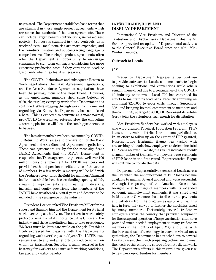negotiated. The Department establishes base terms that are standard in these single project agreements which are above the standards of the term agreements. These can include larger benefit contributions, increased rest periods—10 hours is standard in these contracts, as is weekend rest—meal penalties are more expensive, and the non-discrimination and subcontracting language is comprehensive. These single project agreements often offer the Department an opportunity to encourage companies to sign term contracts considering the more expensive production costs if they continue to produce Union only when they feel it is necessary.

The COVID-19 shutdown and subsequent Return to Work negotiations, the Basic Agreement negotiations, and the Area Standards Agreement negotiations have been the primary focus of the Department. However, as the employment numbers show since October of 2020, the regular, everyday work of the Department has continued. While slogging through work from home, and organizing via Zoom, the Department has not missed a beat. This is expected to continue as a more normal, pre-COVID-19 workplace returns. How the competing streaming platforms will fare in the coming year remains to be seen.

The last six months have been consumed by COVID-19 Return to Work issues and preparation for the Basic Agreement and Area Standards Agreement negotiations. These two agreements are by far the most significant IATSE Agreements that the MPTV Department is responsible for. Those agreements generate well over 100 million hours of employment for IATSE members and provide health and pension benefits to tens of thousands of members. In a few weeks, a meeting will be held with the Producers to continue the fight for members' financial health, sustainable health care funding, quality of life, streaming improvements and meaningful diversity, inclusion and equity provisions. The members of the IATSE have weathered a brutal year and deserve to be included in the resurgence of the industry.

President Loeb thanked Vice President Miller for his report and thanked him and the Department for its hard work over the past half year. The return-to-work safety protocols remain of vital importance to the Union and the industry, and those negotiations had to take precedence. Workers must be kept safe while on the job. President Loeb expressed his pleasure with the Department's organizing work over the past half-year. The IATSE must remain alert to any and all efforts to produce non-union within its jurisdiction. Securing a union contract is the best way for workers to ensure safe working conditions, fair pay, and quality benefits.

#### **IATSE TRADESHOW AND DISPLAY DEPARTMENT**

International Vice President and Director of the Tradeshow and Display Work Department Joanne M. Sanders provided an update of Departmental activities to the General Executive Board since the 2021 Mid-Winter meetings.

#### **Outreach to Locals**

#### *U.S.*

Tradeshow Department Representatives continue to provide outreach to Locals as some markets begin opening to exhibitions and conventions while others remain unemployed due to a continuance of the COVID-19 industry shutdown. Local 720 has continued its efforts to maintain its food bank, recently approving an additional \$200,000 to cover costs through September 2021 and bringing its total commitment to members and the community at large to \$600,000. Representative John Gorey joins the volunteers each month for distribution.

Vice President Sanders has worked with employers who were granted Paycheck Protection Program (PPP) loans to determine distributions in some jurisdictions. In an effort to follow up on the extent of PPP granted, Representative Benjamin Hague was tasked with researching all tradeshow employers to determine total PPP loans received. To date, the results indicate that only a small number of tradeshow employers were recipients of PPP loans in the first round. Representative Hague will continue to update the data.

Department Representatives contacted Locals across the US when the announcement of PPP loans became available to unions. Several applied and were successful. Although the passage of the American Rescue Act brought relief to many of members with its extended pandemic unemployment payments, it was short lived in 25 states as Governors chose to discontinue payments and withdraw from the program as early as June. This has, in turn, only served to further the hardships faced by many members. Fortunately, several tradeshow employers across the country that provided equipment for the setup and operation of large vaccination sites have provided much needed employment to many tradeshow members in the months of April, May, and June. With the increased use of technology to convene virtual mass gatherings, the Department has reached out to several Locals to assist them with preparing technicians to meet the needs of this emerging source of remote digital work. The Department's efforts in this regard have given rise to new work opportunities for members.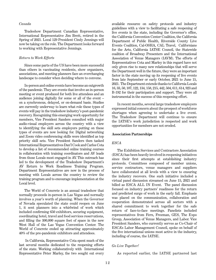#### *Canada*

Tradeshow Department Canadian Representative, International Representative Jim Brett, retired in the Spring of 2021. Local 129 President Cindy Jennings will now be taking on the role. The Department looks forward to working with Representative Jennings.

#### *Return to Work Efforts*

Since some parts of the US have been more successful than others in vaccinating residents, show organizers, associations, and meeting planners face an everchanging landscape to consider when deciding where to convene.

In-person and online events have become an outgrowth of the pandemic. They are events that involve an in-person meeting or event produced for both live attendees and an audience joining digitally for some or all of the event – on a synchronous, delayed, or on-demand basis. Studies are currently underway to learn what role these types of events will pay in the tradeshow industry's post-pandemic recovery. Recognizing this emerging work opportunity for members, Vice President Sanders consulted with major audio-visual employers across the country with a view to identifying the skill sets employers putting on these types of events are now looking for. Digital networking and Zoom video conferencing skills were identified as top priority skill sets. Vice President Sanders then tasked International Representatives Dan'l Cook and Carlos Cota to develop a list of recommended online training courses in collaboration with training coordinators and AV leads from those Locals most engaged in AV. This outreach has led to the development of the Tradeshow Department's AV Return to Work Readiness Training Program. Department Representatives are now in the process of meeting with Locals across the country to review the training program and to encourage implementation at the Local level.

The World of Concrete is an annual tradeshow that normally proceeds in-person in Las Vegas and normally involves a year's worth of planning. When the Governor of Nevada speculated the state could reopen on June 1, it sent planners into a whirlwind of work which included confirming 650 exhibitors, securing equipment, coordinating hotel, travel and food services reservations, and filling the 300,000 square feet of space in the new West Hall of the Las Vegas Convention Center. The World of Concrete ended up attracting approximately 40% of the pre-pandemic exhibitors and attendees.

 In California, Representative Cota spent much of the last several months dedicated to the reopening efforts of the state. Working collaboratively with International Representative Peter Marley, the two sought out every

available resource on safety protocols and industry guidelines with a view to facilitating a safe reopening of live events in the state, including the Governor's office, the California Convention Center Coalition, the California Department of Public Health, Riverside County Live Events Coalition, Cal-OSHA, CAL Travel, Californians for the Arts, California IATSE Council, the Statewide coalition of Broadway Presenters and the International Association of Venue Managers (IAVM). The efforts of Representatives Cota and Marley in this regard have not only given rise to many new relationships that will serve the Department well in the future, they were an important factor in the state moving up its reopening of live events from late September or early October, 2021 to June 15, 2021. The Department extends thanks to California Locals 16, 33, 50, 107, 122, 134, 158, 215, 442, 504, 611, 614, 923 and B-192 for their participation and support. They were all instrumental in the success of this reopening effort.

In recent months, several large tradeshow employers expressed initial concern about the prospect of workforce shortages when agreeing to undertake a live event. The Tradeshow Department will continue to ensure the IATSE's work jurisdiction is respected and work opportunities for members are not eroded.

#### **Association Partnerships**

#### *ESCA*

The Exhibition Services and Contractors Association (ESCA) has been heavily involved in reopening initiatives since their first attempts at establishing industry protocols. Committees composed of member unions, service contractors, venue managers and suppliers have collaborated at all levels with a view to ensuring the industry recovers. One such initiative included a virtual panel discussion streamed on June 15, 2021 and billed as ESCA ALL IN Event. The panel discussion focused on industry partners' readiness for the return and predicted surge of work in the early fall. Emphasis was placed on the communication, collaboration and cooperation demonstrated across all sectors with a shared commitment to work together for the safe return of face-to-face meetings. Panelists included representatives from Fern, Freeman, GES, The Expo Group, Association of Venue Managers, and Labor. Vice President Sanders, who currently serves as Co-Chair of ESCA's Labor Management Council, spoke on behalf of the five international unions most active in the industry, including of course, the IATSE.

#### *Go Live Together!*

As reported earlier, the IATSE partnered last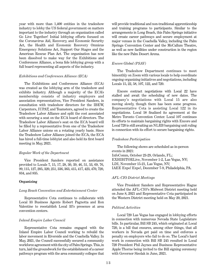year with more than 1,400 entities in the tradeshow industry to lobby the US federal government on matters important to the industry through an organization called Go Live Together! Initial lobbying efforts focused on the Coronavirus Aid, Recovery, and Economic Security Act, the Health and Economic Recovery Omnicus Emergency Solutions Act, Support Our Stages and the American Rescue Plan Act. The organization has now been dissolved to make way for the Exhibitions and Conferences Alliance, a bona fide lobbying group with a full board representing all aspects of the industry.

#### *Exhibitions and Conferences Alliance (ECA)*

The Exhibitions and Conferences Alliance (ECA) was created as the lobbying arm of the tradeshow and exhibits industry. Although a majority of the ECA's membership consists of industry employers and association representatives, Vice President Sanders, in consultation with tradeshow directors for the IBEW, Carpenters, IUPAT, and Teamsters, agreed to create the Tradeshow Labor Alliance and split the cost associated with securing a seat on the ECA board of directors. The Tradeshow Labor Alliance's seat on the ECA board will be filled by a representative from one of the Tradeshow Labor Alliance unions on a rotating yearly basis. Since the Tradeshow Labor Alliance joined the ECA, the ECA has hired a full-time lobbyist and also held its first board meeting in May, 2021.

#### *Regular Work of the Department*

Vice President Sanders reported on assistance provided to Locals 7, 15, 17, 28, 30, 39, 46, 51, 53, 69, 76, 99, 115, 127, 205, 320, 251, 336, 363, 415, 417, 423, 470, 720, 834, and 835.

#### **Organizing**

#### *Long Beach Convention and Entertainment Center*

Representative Cota continues to collaborate with Local 33 Business Agents Robert Pagnotta and Ron Valentine to reestablish Local 33's presence at area convention centers.

#### *Inland Empire Labor Council*

Representative Cota remains engaged with the Inland Empire Labor Council working to rebuild the labor movement in Riverside and the Coachella Valley. In May, 2021, the Council successfully secured a community workforce agreement with the city of Palm Springs. This, in turn, laid the groundwork for the establishment of a career pathways program with the area community colleges that will provide traditional and non-traditional apprenticeship and training programs to participants. Similar to the arrangements in Long Beach, this Palm Springs initiative will create career pathways and secure employment at major venues in the Coachella Valley, including the Palm Springs Convention Center and the McCallum Theatre, as well as new facilities under construction in the region like the new Palm Desert Arena.

#### *Encore Global (PSAV)*

The Tradeshow Department continues to meet bimonthly on Zoom with various locals to help coordinate ongoing organizing initiatives and negotiations, including Locals 15, 22, 58, 107, 122, and 720.

Encore contract negotiations with Local 22 have stalled and await the scheduling of new dates. The company's negotiations with Local 15 are also moving slowly, though there has been some progress. Representative Cota is assisting Local 122 in its negotiations. Local 58 finalized its agreement at the Metro Toronto Convention Center. Local 107 continues its efforts to maintain bargaining rights with Encore and Local 720 is still awaiting an NLRB bargaining unit ruling in connection with its effort to secure bargaining rights.

#### *Tradeshow Participation*

The following shows are scheduled as in-person events in 2021: InfoComm, October 23-29, Orlando, FL; EXHIBITORLive, November 1-2, Las Vegas, NV; LDI, November 15-21, Las Vegas, NV; IAEE Expo! Expo!, December 7-9, Philadelphia, PA.

#### *AFL-CIO District Meetings*

Vice President Sanders and Representative Hague attended the AFL-CIO's Midwest District meeting held on June 8, 2021 and Representative Cota participated in the Western District meeting held on May 20, 2021.

#### *Political Activities*

Local 720 Las Vegas has engaged in lobbying efforts in connection with numerous Nevada State Legislature bills. In particular, Bill SB 245, which originated at Local 720, is a bill that ensures, among other things, that all workers in Nevada get paid on time and enforces a penalty on employers who fail to do so. The Local's hard work in connection with Bill SB 245 resulted in Local 720 President Phil Jaynes and Business Representative Apple Thorne being invited to the Bill signing ceremony with Governor Sisolak in June, 2021.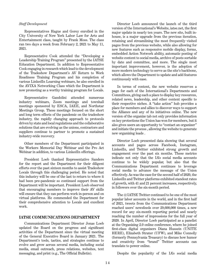#### *Staff Development*

Representatives Hague and Gorey enrolled in the City University of New York Labor Law for Arts and Entertainment class, taught by Frank Moss. The class ran two days a week from February 2, 2021 to May 11, 2021.

Representative Cook attended the "Developing a Leadership Training Program" presented by the IATSE Education Department. In addition to Representative Cook engaging in research which lead to the development of the Tradeshow Department's AV Return to Work Readiness Training Program and his completion of various LinkedIn Learning webinars, he also enrolled in the AVIXA Networking Class which the Department is now promoting as a worthy training program for Locals.

Representative Gandolini attended numerous industry webinars, Zoom meetings and townhall meetings sponsored by ESCA, IAEE, and Northstar Meetings Group. These meetings focused on the short and long term effects of the pandemic on the tradeshow industry, the rapidly changing approach to protocols driven by state and local regulations and the collaborative solutions that are evolving as the unions, contractors and suppliers continue to partner to promote a sustained industry-wide recovery.

Other members of the Department participated in the Workers Memorial Day Webinar and the Pro Act Webinar in addition, to various LinkedIn offerings.

President Loeb thanked Representative Sanders for the report and the Department for their diligent efforts over the past sixteen months to assist Tradeshow Locals through this challenging period. He noted that this industry will be one of the last to return to where it had been pre-pandemic so continued support from the Department will be important. President Loeb observed that encouraging members to improve their AV skills will ensure that they can perform work in-person and on virtual platforms. He commended the Department for their comprehensive attention to Locals and excellent work.

#### **IATSE COMMUNICATIONS DEPARTMENT**

Communications Department Director Jonas Loeb updated the Board on the progress and significant activities of the Department since the virtual meeting of the General Executive Board in January 2021. The Department's tools, tactics, and strategies continue to evolve and grow across several media, including social media, email outreach, press relations, websites, text messaging, and print (e.g., The Official Bulletin).

Director Loeb announced the launch of the third version of the International's Website, iatse.net, the first major update in nearly ten years. The new site, built inhouse, is a major upgrade from the previous iteration, retaining and streamlining the most frequently visited pages from the previous website, while also allowing for new features such as responsive mobile display, forms, embedded Action Network ability, automatic posting of website content to social media, archive of posts sortable by date and committee, and more. The single most important improvement, however, is the adoption of more modern technology to serve as the site's backbone, which allows the Department to update and add features continuously with ease.

In terms of content, the new website reserves a page for each of the International's Departments and Committees, giving each a place to display key resources, related news, leadership, and other content specific to their respective niches. A "take action" hub provides a place for members and allies to discover ways to support the Alliance and any of its initiatives online. The new version of the organize tab not only provides information on key protections the Union has won for members, but it also gives users an opportunity to "contact an organizer" and initiate the process , allowing the website to generate new organizing leads .

Director Loeb presented data showing that several accounts and pages across Facebook, Instagram, LinkedIn, and Twitter exhibited strong growth and engagement over the past six months. These metrics indicate not only that the IA's social media accounts continue to be widely popular, but also that the Communications Department continues to leverage social media to advance the message of the Union effectively. As was the case for the second half of 2020, the LinkedIn and Twitter platforms exhibited standout rates of growth, with 41 and 21 percent increases, respectively, in followers over the six-month period.

The @IATSE Twitter continued to be one of the most popular labor accounts in the world, and in the first half of 2021, tweets from the Communications Department reached users' newsfeeds over 29,600,000 times, a new record for any six-month reporting period and nearly reaching the number of impressions for the full year of 2020. In April, Director Loeb participated as a panelist at the Organizing 2.0 online conference, where he joined first-class digital organizers Diana Hussein (UNITE HERE), Elizabeth Strater (UFW), and Mike Connolly (formerly Pennsylvania Treasury) to discuss how humor and creativity from "brand" Twitter accounts can translate to power online.

Despite the popularity of the IA's social media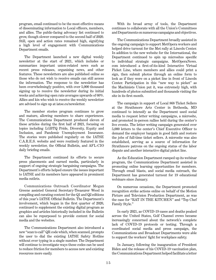program, email continued to be the most effective means of disseminating information to Local officers, members, and allies. The public-facing advocacy list continued to grow, though slower compared to the second half of 2020. Still, open and action rates remained high, signifying a high level of engagement with Communications Department emails.

The Department launched a new digital weekly newsletter at the start of 2021, which includes or summarizes important union-related news such as recent press releases, organizing news, and other features. These newsletters are also published online so those who do not wish to receive emails can still access the information. The response to the newsletter has been overwhelmingly positive, with over 5,000 thousand signing up to receive the newsletter during its initial weeks and achieving open rate averages upwards of 60%. Allies and kin who wish to receive the weekly newsletter are advised to sign up at iatse.co/newsletter.

The member stories program continues to grow and mature, allowing members to share experiences. The Communications Department produced eleven of these articles during the first half of 2021, focusing on topics including LGBTQ Pride, Diversity, Equity and Inclusion, and Pandemic Unemployment Insurance. The stories were published regularly on the IATSE C.A.R.E.S. website and were routinely featured in the weekly newsletter, the Official Bulletin, and AFL-CIO daily briefing emails.

The Department continued its efforts to secure press placements and earned media, particularly in support of ongoing strategic bargaining campaigns. The Department's efforts helped ensure the issues important to IATSE and its members have appeared in prominent media outlets.

Communications Outreach Coordinator Megan Greene assisted General Secretary-Treasurer Wood in compiling and curating content for the Q1 and Q2 editions of this year's IATSE Official Bulletin. The Department's involvement, which began in the first quarter of 2020, continued to supplement the existing digital program as graphics and articles historically included in the Bulletin can also be repurposed to provide content for social media and the websites.

The Communications Department also introduced a new "scan to call" QR code which, when scanned, prompts the user to dial the existing IATSE Safety Hotline without ever typing in a single number. The Department will continue to investigate ways these codes can be used to reduce friction for members to access new and existing resources more easily.

With its broad array of tools, the Department continues to collaborate with all the Union's Committees and Departments on numerous campaigns and objectives.

The Communications Department broadly assisted in the ongoing campaign to support MetOpera workers and helped drive turnout for the Met rally at Lincoln Center. In addition to the new website for the International, the Department continued to spin up microsites specific to individual strategic campaigns. MetOperaNews. com introduced a first-of-its-kind Interactive Virtual Picket Line, where members and allies could print a sign, then submit photos through an online form to look as if they were on a picket line in front of Lincoln Center. Participation in this "new way to picket" as the Machinists Union put it, was extremely high, with hundreds of photos submitted and thousands visiting the site in its first month.

The campaign in support of Local 868 Ticket Sellers at the Strathmore Arts Center in Bethesda, MD continued to intensify as the Department used social media to request letter writing campaigns, a microsite, and promoted in-person rallies held during the center's live events. The letter writing campaign generated over 5,000 letters to the center's Chief Executive Officer to demand the employer bargain in good faith and restore the jobs of full-time ticket sellers. A microsite was also established, serving as a source of information for Strathmore patrons on the ongoing status of the labor dispute and another interactive digital picket line.

As the Education Department ramped up its webinar program, the Communications Department assisted in promoting online learning opportunities for members. Through email blasts, and social media outreach, the Department has generated turnout for 19 educational webinars since January.

On numerous occasions, the Department promoted recognition strike actions online on behalf of the Motion Picture and Television Production Department, as was the case for "RAT IN THE KITCHEN" and "Top Chef Family Style."

In early 2021, as COVID-19 cases and deaths peaked across the United States, Golf Channel crews became increasingly concerned about the network's complete lack of COVID-19 protocols or testing. Through a coordinated social media and press campaign, the Communications and Broadcast Departments were able to support the workers' fight for workplace safety.

In January, following the inauguration of President Biden and the release of his COVID-19 vaccination plan, the Communications Department helped facilitate a letter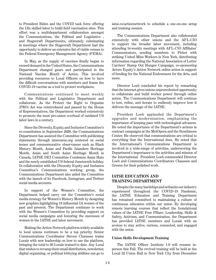to President Biden and the COVID task force offering the IA's skilled labor to build field vaccination sites. This effort was a multidepartment collaboration amongst the Communications, the Political and Legislative , and Stagecraft Departments, ultimately culminating in meetings where the Stagecraft Department had the opportunity to deliver an extensive list of viable venues to the Federal Emergency Management Agency (FEMA).

In May, as the supply of vaccines finally began to exceed demand in the United States, the Communications Department changed gears and participated in the National Vaccine Month of Action. This involved providing resources to Local Officers on how to have the difficult conversations with members and frame the COVID-19 vaccine as a tool to protect workplaces.

Communications continued to meet weekly with the Political and Legislative Department and collaborate. As the Protect the Right to Organize (PRO) Act was reintroduced and passed by the House of Representatives, the Department worked extensively to promote the most pro-union overhaul of outdated US labor laws in a century.

Since the Diversity, Equity, and Inclusion Committee's re-constitution in September 2020, the Communications Department has assisted the Committee with publicizing statements through iatsecares.org centered on social issues and commemorative observances such as Black History Month, Asian and Pacific Islanders Heritage Month, Asian and South Asian Heritage Month in Canada, IATSE DEI Committee Condemns Asian Hate and the newly established US federal Juneteenth holiday. In collaboration with the Diversity Equity and Inclusion Committee's Communications working group, the Communications Department also aided the Committee with the launch of its Facebook, Instagram, and Twitter social media accounts.

In support of the Women's Committee, the Department helped carry out the Committee's social media strategy for Women's History Month by designing new graphics highlighting 18 influential IA women of the past and present. The Department continues to work with the Women's Committee by providing support on social media campaigns and honoring the successes of women in the IATSE and labor movement.

Making the Action Network platform widely available to local unions continues to be a top priority. Senior Communications Coordinator Steven Chaussee trains Locals with new leadership on how to use the platform, bringing the total to 36 Locals trained to date. Any Local that wishes to revamp their email distribution, newsletter, digital organizing, or political lobbying abilities can go to iatse.co/actionnetwork to schedule a one-on-one setup and training session.

The Communications Department also collaborated extensively with other unions and the AFL-CIO to support the broader labor movement, including attending bi-weekly meetings with AFL-CIO Affiliates' Communicators, sending members to Picket with striking United Mine Workers in New York, distributing information regarding the National Association of Letter Carriers' Stamp Out Hunger Campaign, co-sponsoring Actors Equity's Action Network online action in support of funding for the National Endowment for the Arts, and more.

Director Loeb concluded his report by remarking that the internet gives unions unprecedented opportunity to collaborate and build worker power through online action. The Communications Department will continue to test, refine, and iterate to endlessly improve how it delivers the message of the IATSE.

President Loeb applauded the Department's upgrades and modernization, emphasizing the importance of keeping pace with technological advances. He noted the importance of the Department's actions in contract campaigns at the MetOpera and the Strathmore Center. He observed that communications are critical to everything that the International does. He noted that the International's Communications Department is involved in a wide-range of activities, underscoring the Department's importance to the activities and mission of the International. President Loeb commended Director Loeb and Communications Coordinators Chaussee and Greene for their polished work.

#### **IATSE EDUCATION AND TRAINING DEPARTMENT**

Despite the many hardships and setbacks our industry experienced throughout the COVID-19 Pandemic, the IATSE Education and Training Department has remained committed to maintaining a culture of continuous education within our union. By developing remote learning courses that reflect the foundational values of the IATSE Four Pillars: Leadership, Skills & Safety, Activism, and Communication, the Department has provided IATSE members and Locals with an avenue to stay active, curious, connected, and engaged with the union.

#### **Union Skills Development Training**

The IATSE Officer Institute 1.0 will resume inperson this Fall. The revived training will be held at the Local 52 Union Hall in New York City from December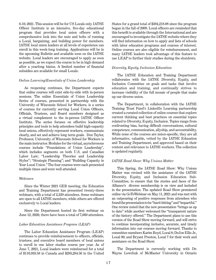6-10, 2021. This session will be for US Locals only. IATSE Officer Institute is an intensive, five-day educational program that provides local union officers with a comprehensive look into the nuts and bolts of running a Local, bargaining, and building power for members. IATSE local union leaders at all levels of experience can enroll in this week-long training. Applications will be in the upcoming Bulletin and available soon on the IATSE website. Local leaders are encouraged to apply as soon as possible, as we expect the course to be in high demand after a yearlong hiatus. A limited number of financial subsidies are available for small Locals.

#### *Online Learning/Essentials of Union Leadership*

As reopening continues, the Department expects that online courses will exist side-by-side with in-person sessions. The online Essentials of Union Leadership Series of courses, presented in partnership with the University of Wisconsin School for Workers, is a series of courses for currently serving Local Union Officers, Officials, Trustees, and Board members designed as a virtual complement to the in-person IATSE Officer Institute. The series focuses on effective leadership principles and tools to help attendees build high-capacity local unions, effectively represent workers, communicate clearly, and set and achieve long term goals. Don Taylor, Professor, University of Wisconsin School for Workers is the main instructor. Modules for the virtual, asynchronous courses include "Foundations of Union Leadership", which includes segments on both U.S. and Canadian Labor Law; "Leadership Theories and Leadership Styles"; "Strategic Planning"; and "Building Capacity in Your Local Union." The four courses were each presented multiple times and were well attended.

#### *Webinars*

Since the Winter 2021 GEB meeting, the Education and Training Department has presented twenty-three webinars, with a total of 2,339 attendees. Some webinars are open to all IATSE members, while others are offered exclusively to Local leaders.

Since the Department hosted its first webinar on June 12, 2020, there have been a total of 7,660 attendees.

#### *Labor Education Assistance Program (LEAP)*

The Labor Education Assistance Program (LEAP) continues to provide reimbursement to officers, officials, trustees, and executive board members of local unions to enroll in one labor studies course per year. As of June 7, 2021, Local leaders were reimbursed for a total of \$110,933.58 in Canada and \$283,284.50 in the United

States for a grand total of \$394,218.08 since the program began in the fall of 2009. Local officers are reminded that this benefit is available through the International and are encouraged to investigate the IATSE website where they will find information on how to apply and lists of schools with labor education programs and courses of interest. Online courses are also eligible for reimbursement, and many IATSE leaders took advantage of this feature to use LEAP to further their studies during the shutdown.

#### *Diversity, Equity, Inclusion Education*

The IATSE Education and Training Department collaborates with the IATSE Diversity, Equity, and Inclusion Committee on goals and tasks that involve education and training, and continually strives to increase visibility of the full mosaic of people that make up our diverse union.

The Department, in collaboration with the IATSE Training Trust Fund's LinkedIn Learning partnership created a curated collection of online courses that explore current thinking and best practices on essential topics related to Diversity, Equity, Inclusion. Topics range from confronting bias, having difficult conversations, cultural competence, communication, allyship, and accountability. While none of the courses are union-specific, they are all informative, valuable, vetted by the IATSE Education and Training Department, and approved based on their content and relevance to IATSE workers. The collection is updated regularly.

#### *IATSE Road Show: Why Unions Matter*

This Spring, the IATSE Road Show: Why Unions Matter was revised with the assistance of the IATSE Diversity, Equity, and Inclusion Education Sub-Committee, to ensure that the stories and faces of the Alliance's diverse membership is on view and included in the presentation. The updated Road Show premiered online via GoToWebinar on May 11, 2021 and was met with an outpouring of positive responses from attendees who found the presentation to be "hard-hitting" and "impactful." One review noted that the new presentation "brings us up to date" while another welcomed the "transparent nature of the history offered." The Department plans to use this version of the Road Show moving forward, and will strive to continue incorporating inclusive, accurate, and timely information into our courses moving forward. Thanks to committee members Karim Boyd, Local 8; DeJon Ellis Jr., Local 80; and Bryant Preston, Local 7 for their work and assistance on the Road Show.

The Department is currently working with Dr. Wayne Lewchuk of McMaster University in Ontario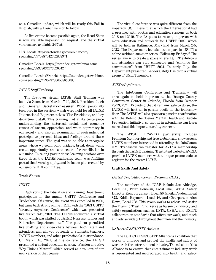on a Canadian update, which will be ready this Fall in English, with a French version to follow.

As live events become possible again, the Road Show is now available in-person, on request, and the virtual versions are available 24/7 at:

#### U.S. Locals https://attendee.gotowebinar.com/ recording/6970887642362803971

Canadian Locals https://attendee.gotowebinar.com/ recording/383336342735260427

Canadian Locals (French) https://attendee.gotowebinar. com/recording/4995237866568835083

#### *IATSE Staff Training*

The first-ever virtual IATSE Staff Training was held via Zoom from March 17-19, 2021. President Loeb and General Secretary-Treasurer Wood personally took part in the sessions which were held for all IATSE International Representatives, Vice Presidents, and key department staff. This training had at its centerpiece understanding the historical, social, and economic causes of racism, oppression, and white supremacy in our society, and also an examination of each individual participant's personal ideas and feelings around these important topics. The goal was to be able to recognize areas where we could build bridges, break down walls, create opportunity, and sow seeds of reconciliation in our union. In taking part in these learning sessions over three days, the IATSE leadership team was fulfilling part of the diversity, equity, and inclusion plan created by our union's DEI committee.

#### **Trade Shows**

#### *USITT*

Each spring, the Education and Training Department participates in the annual USITT Conference and Tradeshow. Of course, the event was cancelled in 2020, but came back strong online in 2021 with the "2021 USITT Virtually Anywhere Conference", which was presented live March 8-12, 2021. The IATSE sponsored a virtual booth, which was staffed by IATSE Representatives and Education Department staff. The platform permitted live chatting and video chats between booth staff and attendees, and allowed outreach to students, teachers, IATSE members, and other professionals in attendance. On March 10, 2021, at the conference, the IATSE presented a virtual education session, "Passion and Pay: Why Unions Matter", which served as a roll-out of our new version of that course.

The virtual conference was quite different from the in-person USITT event, at which the International had a presence with booths and education sessions in both 2018 and 2019. The IA plans to return, in-person with more education and outreach for USITT 2022, which will be held in Baltimore, Maryland from March 2-5, 2022. The Department has also taken part in USITT's online webinar, summer series "Follow-up Fridays." The series' aim is to create a space where USITT exhibitors and attendees can stay connected and "continue the conversation" from USITT 2021. In early July, the Department presented Ladder Safety Basics to a virtual group of USITT members.

#### *AVIXA/InfoComm*

The InfoComm Conference and Tradeshow will once again be held in-person at the Orange County Convention Center in Orlando, Florida from October 23-29, 2021. Providing that it remains safe to do so, the IATSE will host an in-person booth on the tradeshow floor. The IATSE will also sponsor a panel in coordination with the Behind the Scenes Mental Health and Suicide Prevention Initiative, so that all in attendance can learn more about this important safety concern.

The IATSE TTF/AVIXA partnership includes Premium Membership and free global trade show access. IATSE members interested in attending the InfoComm 2021 Tradeshow can register for AVIXA membership through the IATSE Training Trust Fund website. AVIXA provides IATSE members with a unique promo code to register for the event: IATSE

#### **Craft Skills And Safety**

#### *IATSE Craft Advancement Program (ICAP)*

The members of the ICAP include Joe Aldridge, Local 720, Peter Donovan, Local One, IATSE Safety Director Kent Jorgensen, Local 80, Sheila Pruden, Local 873, Eddie Raymond, Local 16, and Chairperson Alan Rowe, Local 728. This group works to advise and assist the Training Trust Fund, serve as liaison to industry and safety organizations such as ESTA, OSHA, and USITT, collaborate on standards that affect our work, and teach and advise widely throughout the union and the industry.

#### *OSHA/IATSE/USITT Alliance*

The OSHA/IATSE/USITT Alliance is a coalition that works to improve and protect the health and safety of workers in the entertainment industry. The mission of this Alliance is to ensure that entertainment industry work is represented and incorporated into health and safety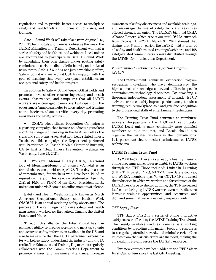regulations and to provide better access to workplace safety and health tools and information, guidance, and training.

Safe + Sound Week will take place from August 9-15, 2021. To help Locals and members observe the week, the IATSE Education and Training Department will host a series of safety and health-related webinars. Local unions are encouraged to participate in Safe + Sound Week by scheduling their own classes and/or posting safety reminders on social media, bulletin boards, and in Local newsletters. Safe + Sound is not just a weeklong effort, Safe + Sound is a year-round OSHA campaign with the goal of ensuring that every workplace establishes an occupational safety and health program.

In addition to Safe + Sound Week, OSHA holds and promotes several other reoccurring safety and health events, observances, and campaigns that all IATSE workers are encouraged to embrace. Participating in the observances/campaigns helps to keep safety and training at the forefront of our activities every day, promoting awareness and safety activism.

• OSHA's Heat Illness Prevention Campaign is a yearlong campaign that focuses on educating workers about the dangers of working in the heat, as well as the signs and symptoms associated with heat-related illness. To observe this campaign, the Department partnered with Providence St. Joseph Medical Center of Burbank, CA to host a "Heat Illness Prevention" webinar on Wednesday, June 23, 2021.

 Workers' Memorial Day (USA)/ National Day of Mourning/Moment of Silence (Canada) is an annual observance, held on April 28. This day is a time of remembrance, for workers who have been killed or injured on the job. This year, on Wednesday, April 28, 2021 at 10:00 am PDT/1:00 pm EDT, President Loeb, united our union via Zoom in an online moment of silence.

Safety and Health Week, formerly known as North American Occupational Safety and Health Week (NAOSH) is an annual weeklong safety observance. The purpose of the campaign is to raise safety and health awareness in workplaces throughout Canada, the United States, and Mexico.

Through this alliance, the International has an enhanced ability to provide workers the most up-to-date and accurate safety information available in the US, and also to make sure that the OSHA personnel responsible for workplace safety understand the industry and the IA crafts. The Education and Training Department regularly collaborates with the Communications Department to promote classes and maximize attendance, increase

awareness of safety observances and available trainings, and encourage the use of safety tools and resources offered through the union. The IATSE's biannual OSHA Alliance Report, which tracks our total OSHA outreach from October 1, 2020 to March 31, 2021 showed that during that 6-month period the IATSE held a total of 40 safety and health-related trainings/webinars, and 108 safety-related communications were distributed through the IATSE Communications Department.

#### *Entertainment Technician Certification Program (ETCP)*

The Entertainment Technician Certification Program recognizes individuals who have demonstrated the highest levels of knowledge, skills, and abilities in specific entertainment technology disciplines. By providing a thorough, independent assessment of aptitude, ETCP strives to enhance safety, improve performance, stimulate training, reduce workplace risk, and give due recognition to the professional skills of entertainment technicians.

The Training Trust Fund continues to reimburse workers who pass any of the ETCP certification tests. IATSE Local unions must continually urge qualified members to take the test, and Locals should also organize the certified workers in their jurisdictions. It is paramount that the safest technicians, be IATSE technicians.

#### **IATSE Training Trust Fund**

As 2020 began, there was already a healthy menu of online programs and courses available to IATSE workers through the TTF. Those included: LinkedIn Learning (LIL), TTF Safety First!, MPTV Online Safety courses, and AVIXA memberships. When COVID-19 shuttered the industries in which we work in and forced much of the IATSE workforce to shelter at home, the TTF increased its focus on bringing IATSE workers even more distance learning training opportunities and resources and digitized some that were previously in-person only.

#### *TTF Safety Frist!*

TTF Safety First! is a series of online interactive safety courses offered by the IATSE Training Trust Fund. The twenty available modules promote safe working conditions by providing information, tools, and resources to recognize potential hazards and minimize risks. Case studies from the various crafts are included, making the curriculum relevant across the IATSE workforce.

Two new courses have been added to the TTF Safety First Curriculum since the last GEB meeting.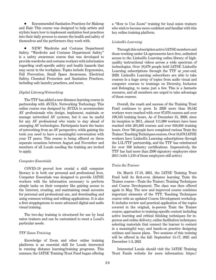Recommended Sanitation Practices for Makeup and Hair. This course was designed to help artists and stylists learn how to implement sanitation best practices into their daily process to ensure the health and safety of themselves and the performers they work with.

 NEW! Wardrobe and Costume Department Safety. "Wardrobe and Costume Department Safety" is a safety awareness course that was developed to provide wardrobe and costume workers with information regarding craft-specific safety and health hazards that may occur in the workplace. Topics include Ergonomics, Fall Prevention, Small Space Awareness, Electrical Safety, Chemical Protection and Sanitation Practices, including safe laundry practices, and more.

#### *Digital Literacy/Networking*

The TTF has added a new distance-learning course in partnership with AVIXA: Networking Technology. This online course was designed by AVIXA to accommodate AV professionals who design, implement, maintain or manage networked AV systems, but it can be useful for any AV professional who wants to stay ahead of emerging AV technologies. Participants learn the basics of networking from an AV perspective, while gaining the tools you need to have a meaningful conversation with your IT peers. This course is being offered on three separate occasions between August and November and members of all Locals needing the training are invited to apply.

#### *Computer Essentials*

COVID-19 proved how crucial a skill computer literacy is in both our personal and professional lives. Computer Essentials was designed to provide IATSE workers with the information necessary to perform simple tasks on their computer like gaining access to the Internet, creating, and maintaining email accounts for personal and professional use, and downloading and using common writing and editing applications. It is also a first steppingstone to more advanced digital and audio visual training.

The two-day training is structured for use by local union trainers and can be customized to meet a Local's particular needs.

#### *TTF Zoom Training*

Knowledge of Zoom and other online training platforms is an essential skill for Locals interested in running distance learning/training programs. This summer, the IATSE Training Trust Fund began offering

a "How to Use Zoom" training for local union trainers who wish to become more confident and familiar with this key online training platform.

#### *LinkedIn Learning*

Through this subscription active IATSE members and those working under IA agreements have free, unlimited access to the LinkedIn Learning online library of highquality instructional videos across a wide spectrum of technologies. Over 16,678 people held IATSE LinkedIn Learning subscriptions through the TTF at year-end, 2020. LinkedIn Learning subscribers are able to take courses in a huge array of topics from audio visual and computer courses to trainings on Diversity, Inclusion and Belonging, to name just a few. This is a fantastic resource, and all members are urged to take advantage of these courses.

Overall, the reach and success of the Training Trust Fund continues to grow. In 2020 more than 39,542 workers were reached with over 97,076 courses and over 109,165 training hours. As of December 31, 2020, since its inception in 2011, almost 111,000 workers have been reached with 201,683 courses and over 658,850 training hours. Over 766 people have completed various Train the Trainer: Teaching Techniques courses. Over 16,678 IATSE workers have LinkedIn Learning subscriptions through the LIL/TTF partnership, and the TTF has reimbursed for over 950 industry certifications. Impressively, the TTF has had more than 2500 signatory employers since 2011 (with 1,159 of those employers still active).

#### *Train the Trainer*

On March 17-19, 2021, the IATSE Training Trust Fund held its first-ever, distance learning Train the Trainer course—Train the Trainer: Training Techniques and Course Development. The class was then offered again in May. The new and improved course combines important elements of the TTT: Teaching Techniques course with an updated Course Development workshop. It includes review and practical application of the topics covered in the original, in-person Train the Trainer course; approaches to training-specific content including active learning and critical thinking techniques for inperson and online delivery; online facilitation techniques; selecting materials that connect the learner to content in a meaningful way; and hands-on practice designing outlines and lesson plans. Two sessions of this training will be offered in the fall: September 15-17, 2021 and December 1-3, 2021

Interested Locals should visit the IATSE Training Trust Funds website for more information: https://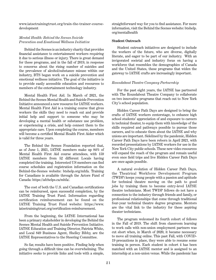www.iatsetrainingtrust.org/train-the-trainer-coursedevelopment

#### *Mental Health: Behind the Scenes Suicide Prevention and Emotional Wellness Initiative*

Behind the Scenes is an industry charity that provides financial assistance to entertainment workers requiring it due to serious illness or injury. There is great demand for these programs, and in the fall of 2019, in response to concerns about the rising number of suicides and the prevalence of alcohol/substance misuse within our industry, BTS began work on a suicide prevention and emotional wellness initiative. The goal of the initiative is to provide easily accessible education and resources to members of the entertainment technology industry.

Mental Health First Aid. In March of 2021, the Behind the Scenes Mental Health and Suicide Prevention Initiative announced a new resource for IATSE workers. Mental Health First Aid is a training course that gives workers the skills they need to reach out and provide initial help and support to someone who may be developing a mental health or substance use problem, or experiencing a crisis, and help connect them to the appropriate care. Upon completing the course, members will become a certified Mental Health First Aider which is valid for three years.

The Behind the Scenes Foundation reported that, as of June 1, 2021, IATSE members make up 84% of Mental Health First Aid course attendees, with 159 IATSE members from 52 different Locals having completed the training. Interested US members can find course schedules and registration information on the Behind-the-Scenes website: btshelp.org/mhfa. Training for Canadians is available through the Actors Fund of Canada: https://afchelps.ca/mhfa/.

The cost of both the U.S. and Canadian certifications can be reimbursed, upon successful completion, by the IATSE Training Trust Fund. Information regarding certification reimbursement can be found on the IATSE Training Trust Fund website: https://www. iatsetrainingtrust.org/certification-reimbursement.

From the beginning, the IATSE International has been a primary stakeholder in developing the Behind the Scenes Mental Health and Suicide Prevention Initiative. IATSE Education and Training Director, Patricia White, and Local 849 Business Agent, Shelley Bibby, are the IATSE Representatives to the Steering Committee.

So far, results have been positive. Finding help when going through a difficult time can be overwhelming. The initiative seeks to provide links and tools with a simple, straightforward way for you to find assistance. For more information, visit the Behind the Scenes website: btshelp. org/mentalhealth

#### **Student Outreach**

Student outreach initiatives are designed to include the workers of the future, who are diverse, digitally literate, and eager to be part of our industry. With an invigorated societal and industry focus on having a workforce that resembles the demographics of Canada and the United States, these programs that widen the gateway to IATSE crafts are increasingly important.

#### *Roundabout Theatre Company Partnership*

For the past eight years, the IATSE has partnered with The Roundabout Theatre Company to collaborate on two innovative programs that reach out to New York City's school population.

Hidden Career Path Days are designed to bring the crafts of IATSE workers centerstage, to enhance high school students' appreciation of and exposure to careers in technical theater, to equip them with knowledge of the skills required and pathways possible to pursue those careers, and to educate them about the IATSE and why unions are important. Sidelined by the pandemic, Hidden Career Path Days have been reborn in April 2021, with recorded presentations by IATSE workers for use in the New York City public schools. These new video resources will expand the reach of the program and remain useful even once field trips and live Hidden Career Path Days are once again possible.

A natural evolution of Hidden Career Path Days, the Theatrical Workforce Development Program (TWDP) keeps young people with a passion and aptitude for technical theatre moving on the path to good jobs by training them to become entry-level IATSE theatre technicians. Most TWDP fellows do not have a connection to the industry through friends and family, or professional relationships that come through traditional four-year technical theatre degree programs. Mentors are the vital link to the industry for these aspiring theater technicians.

The program welcomed its fourth cohort of fellows in the Fall of 2019. The shift from classroom learning to work calls with non-union employment partners was cut short when, in March of 2020, it became necessary to move all training online. This past Fall, with COVID-19 precautions in place, they were able to resume some training in person. Each student in cohort 4 has been matched with an IATSE mentor and is assigned to an internship at a non-union venue. While the pandemic has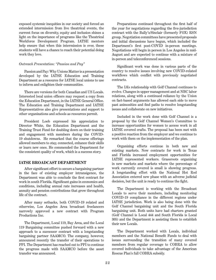exposed systemic inequities in our society and forced an extended intermission from live theatrical events, the current focus on diversity, equity and inclusion shines a light on the importance of programs like the Theatrical Workforce Development Program. IATSE mentors help ensure that when this intermission is over, these students will have a chance to reach their potential doing work they love.

#### *Outreach Presentation: "Passion and Pay"*

Passion and Pay: Why Unions Matter is a presentation developed by the IATSE Education and Training Department as a resource for IATSE local unions to use to inform and enlighten their communities.

There are versions for both Canadian and US Locals. Interested local union officers may request a copy from the Education Department, in the IATSE General Office. The Education and Training Department and IATSE Representatives also give presentations and support to other organizations and schools as resources permit.

President Loeb expressed his appreciation to Director White, the Education Department and the Training Trust Fund for doubling down on their training and engagement with members during the COVID-19 shutdowns. He remarked that the course offerings allowed members to stay, connected, enhance their skills or learn new ones. He commended the Department for the consistent quality of work, which is a success story.

#### **IATSE BROADCAST DEPARTMENT**

After significant effort to secure a bargaining partner in the face of existing employer intransigence, the Department was able to conclude the first contract for work in south Florida. Significant gains in economics and conditions, including annual rate increases and health, annuity and pension contributions that grow throughout life of the contract.

After many setbacks, both COVID-19 related and otherwise, Los Angeles Area broadcast freelancers narrowly approved a new contract with Program Productions Inc.

The Department, Local 119, Bay Area, and the Local 119 Bargaining committee pushed forward with a new approach to a successor contract with a longstanding bargaining partner SAAMCO. The company, however, announced recently the transfer of their operations to PPI. The Department has reached out to PPI to continue the progress made with SAAMCO before the asset transfer was announced.

Preparations continued throughout the first half of the year for negotiations regarding the five-jurisdiction contract with the Bally's/Sinclair (formerly FOX) RSN group. Negotiation committees have presented proposals and initial discussions have begun, which included the Department's first post-COVID in-person meetings. Negotiations will begin in person in Los Angeles in mid-August and are expected to continue with a mixture of in-person and teleconferenced sessions.

Significant work was done in various parts of the country to resolve issues involving new COVID-related workflows which conflict with previously negotiated contracts.

The IA's relationship with Golf Channel continues to evolve. Changes in upper management and at NBC labor relations, along with a continued reliance by the Union on fact-based arguments has allowed each side to move past animosities and find paths to resolve longstanding issues and collaborate on new initiatives.

Included in the work done with Golf Channel is a proposal by the Golf Channel Women's Committee to increase opportunities for women to access work in all IATSE covered crafts. The proposal has been met with a positive reaction from the employer and we continue to work with them on the implementation of the plan.

Organizing efforts continue in both new and existing markets. New contracts for work in Texas and Florida increased employment opportunities for IATSE represented workers. Grassroots organizing in new markets and markets where the percentage of work currently covered is small is showing progress. A longstanding effort with the National Hot Rod Association entered new phase with an adverse judicial decision, but the unit is ready to continue the fight.

The Department is working with the Broadcast Locals to serve their members, including monitoring COVID-19 compliance in the different regions under IATSE jurisdiction. Work is also being done with the Golf Channel bargaining unit and the South Florida bargaining unit. Both units have had charters granted (Golf Channel is Local 444 and South Florida is Local 305) and the Department is assisting them to establish their new Locals.

The Department worked with Locals, individual members and the National Benefit Funds to deal with issues surrounding the transition of many covered members from regular coverage to COBRA to allow covered individuals to take advantage of the American Rescue Plan's full COBRA subsidy.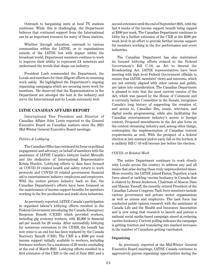Outreach to bargaining units at local TV stations continues. While this is challenging, the Department believes that continued support from the International can be an important resource for many of these stations.

Whether through education, outreach to various communities within the IATSE, or to organizations outside of the IATSE but with impact within the broadcast world, Department members continue to work to improve their ability to represent IA members and understand the trends that shape our industry.

President Loeb commended the Department, the Locals and members for their diligent efforts in resuming work safely. He highlighted the Department's ongoing organizing campaigns which are securing more work for members. He observed that the Representatives in the Department are amongst the best in the industry and serve the International and its Locals extremely well.

#### **IATSE CANADIAN AFFAIRS REPORT**

International Vice President and Director of Canadian Affairs John Lewis reported to the General Executive Board on Canadian matters since the 2021 Mid-Winter General Executive Board meetings.

#### *Politics & Lobbying*

The Canadian Office has continued its focus on political engagement and advocacy on behalf of members with the assistance of IATSE Canada's lobbyist Isabel Metcalfe and the dedication of International Representative Krista Hurdon. Lobbying efforts to date have focused on COVID-19 related health and safety return to work protocols and COVID-19 related government financial aid to entertainment industry employees and employers. With the motion picture industry back on line, the Canadian Department's efforts have been focussed on the maintenance of income support benefits for members working in the live production and trade show industries.

As previously reported, IATSE Canada's participation in organized labour's lobbying efforts resulted in the Federal Government introducing the Canada Emergency Response Benefit (CERB) which provided workers, including gig economy workers, with \$2,000 in financial aid per month for 28 weeks. After successfully lobbying for numerous extensions to the CERB, the benefit has now come to an end but has been replaced by the Canada Recovery Benefit (CRB). The CRB is a \$500 per week income support initially available to workers, including freelance workers, for a maximum of 26 weeks concluding at the end of March 2021. Lobbying efforts resulted in a first extension of the CRB to the end of June 2021 and a

second extension until the end of September 2021, with the last 8 weeks of the income support benefit being capped at \$300 per week. The Canadian Department continues to lobby for a further extension of the CRB at the \$500 per week level in an effort to provide further income support for members working in the live performance and event industries.

The Canadian Department has also maintained its focused lobbying efforts related to the Federal Government's Bill C-10, an Act to Amend the Broadcasting Act. IATSE representatives have been meeting with high level Federal Government officials to ensure that IATSE members' views and interests, which are not entirely aligned with other unions and guilds, are taken into consideration. The Canadian Department is pleased to note that the most current version of the Act, which was passed by the House of Commons and is currently before Committee in the Senate, recognizes Canada's long history of supporting the creation of, and access to, Canadian film, music, television, and digital media programming, while also facilitating the Canadian entertainment industry's access to foreign content. Proposed amendments to the Act also focus on the content streaming industry and, among other things, contemplate the implementation of Canadian content requirements as well. With the prospect of a federal election in late summer and/or early fall on the horizon, it is unlikely Bill C-10 will become law before the election.

#### *COVID-19 Related Work*

The entire Department continues to work closely with Locals across the country to address any and all issues that arise during these truly unprecedented times. More recently, the IATSE joined Faster, Together, a task force aimed at tackling vaccine hesitancy in Canada that is chaired by Bruce Anderson, Chairman of Abacus Data and Hassan Yussuff, the recently retired President of the Canadian Labour Congress. Task force members include various government and private sector organizations as well as unions and employers. The task force has conducted public opinion research with the assistance of Canada Life and the Health and Insurance Association and is now using that research to launch and pursue a national social media-based campaign aimed at reducing vaccine hesitancy. Current polling indicates the campaign is getting traction and translating into marked increases in the number of Canadians getting vaccinated.

#### **Organizing**

 As previously reported at the Mid-Winter General Executive Board meetings, IATSE Canada continues to aggressively pursue organizing opportunities during the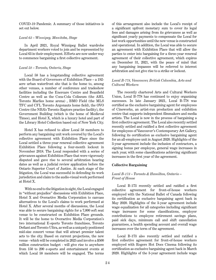COVID-19 Pandemic. A summary of those initiatives is set out below.

#### *Local 63 – Winnipeg, Manitoba, Stage*

In April 2021, Royal Winnipeg Ballet wardrobe department workers voted to join and be represented by Local 63 in their employment. Efforts are now under way to commence bargaining a first collective agreement.

#### *Local 58 – Toronto, Ontario, Stage*

Local 58 has a longstanding collective agreement with the Board of Governors of Exhibition Place – a 192 acre urban waterfront site that is the home to, among other venues, a number of conference and tradeshow facilities including the Enercare Centre and Beanfield Centre as well as the Coca-Cola Coliseum (the AHL Toronto Marlies home arena) , BMO Field (the MLS TFC and CFL Toronto Argonauts home field), the OVO Centre (the NBA's Toronto Raptors practice facility), the Government Building (which is the home of Medieval Times), and Hotel X, which is a luxury hotel and part of the Library Hotel Collection based out of New York City.

Hotel X has refused to allow Local 58 members to perform any bargaining unit work covered by the Local's collective agreement with Exhibition Place since the Local settled a three-year renewal collective agreement Exhibition Place following a four-month lockout in November 2018. The Local responded with a series of grievances against Exhibition Place that were vigorously disputed and gave rise to several arbitration hearing dates as well as a judicial review application before the Ontario Superior Court of Justice. At each stage of the litigation, the Local was successful in defending its work jurisdiction and claim to the audio-visual work performed at Hotel X.

 With no end to the litigation in sight, the Local engaged in "without prejudice" discussions with Exhibition Place, Hotel X and Overactive Media Corporation to canvass alternatives to the Local's claims to work performed at Hotel X. After several months of discussions, the Local was able to secure bargaining rights for a 7,000 soft seat venue to be constructed on Exhibition Place grounds. It will be the home to Overactive Media Corporation's two international E-sports Toronto franchises, Toronto Defiant and Toronto Ultra, as well as a uniquely positioned mid-size concert venue that will attract premier talent acts to the city. Based on current projections, the new venue - which will be completed in 2025 and involve a \$500 million construction budget - will give rise to anywhere from 150 to 200 e-sports and entertainment events at which Local 58 members will be engaged. The terms

of this arrangement also include the Local's receipt of a significant upfront monetary sum to cover its legal fees and damages arising from its grievances as well as significant yearly payments to compensate the Local for lost work opportunities until the new venue is constructed and operational. In addition, the Local was able to secure an agreement with Exhibition Place that will allow the parties to enter into bargaining for a three-year renewal agreement of their collective agreement, which expires on December 31, 2021, with the peace of mind that any bargaining impasses will be referred to interest arbitration and not give rise to a strike or lockout.

#### *Local B-778, Vancouver, British Columbia, Arts and Cultural Workers*

The recently chartered Arts and Cultural Workers Union, Local B-778 has continued to enjoy organizing successes. In late January 2021, Local B-778 was certified as the exclusive bargaining agent for employees of Cineworks, an artist-run production and exhibition centre that supports independent filmmakers and media artists. The Local is now in the process of bargaining a first collective agreement. The Local also recently settled recently settled and ratified a first collective agreement for employees of Vancouver's Contemporary Art Gallery, following its certification as exclusive bargaining agent for an all-employee unit in August 2020. Highlights of the 3-year agreement include the inclusion of contractors, a signing bonus per employee, general wage increases in each year, with some classifications achieving significant increases in the first year of the agreement.

#### **Collective Bargaining**

#### *Local B-173 – Toronto & Hamilton, Ontario – Front of House*

Local B-173 recently settled and ratified a first collective agreement for front-of-house workers employed with the National Ballet of Canada following its certification as exclusive bargaining agent back in May 2020. Highlights of the 3-year agreement include wage equalization for all categories including significant wage increases for some classifications, employer contributions to employee retirement savings plans, paid sick days, minimum call and shift cancellation guarantees, a health spending account and overall wage increases over the term of the agreement.

Local B-173 also recently settled and ratified a first collective agreement for front-of-house workers employed with Rogers Hot Docs Cinema following its certification as exclusive bargaining agent back in March 2020. Highlights of the 3-year agreement include wage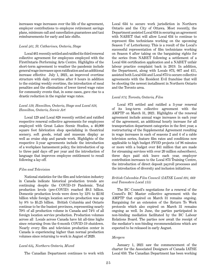increases wage increases over the life of the agreement, employer contributions to employee retirement savings plans, minimum call and cancellation guarantees and taxi reimbursements for early and late shifts.

#### *Local 461, St. Catharines, Ontario, Stage*

Local 461 recently settled and ratified its third renewal collective agreement for employees employed with the FirstOntario Performing Arts Centre. Highlights of the short-term agreement to weather the pandemic include general wage increases upon ratification and an additional increase effective July 1, 2021, an improved overtime structure with daily overtime after 8 hours in addition to the existing weekly overtime, the introduction of meal penalties and the elimination of lower tiered wage rates for community events that, in some cases, gave rise to a drastic reduction in the regular wage rates.

#### *Local 129, Hamilton, Ontario, Stage and Local 828, Hamilton, Ontario, Scenic Art*

Local 129 and Local 828 recently settled and ratified respective renewal collective agreements for employees employed with Great Lakes Scenic Studios, a 40,000 square foot fabrication shop specializing in theatrical scenery, soft goods, retail and museum display as well as cruise ship and parade work. Highlights of the respective 3-year agreements include the introduction of a workplace harassment policy, the introduction of up to three paid days off per year and the introduction of language that improves employee entitlement to recall following a lay-off.

#### *Film and Television*

National statistics for the film and television industry in Canada indicate historical production trends are continuing despite the COVID-19 Pandemic. Total production levels (pre-COVID) reached \$9.3 billion. Domestic production levels were down by 12% to \$2.92 billion while foreign location service production was up by 8% to \$5.25 billion. British Columbia and Ontario continue to be the busiest provinces, representing nearly 70% of all production volume in Canada and 74% of all foreign location service production. Production volumes across all Locals across Canada have hit all-time highs since returning from the 6-month COVID-19 shutdown. Nearly every film and television production center in Canada is experiencing higher than normal production volumes since returning to work in August of 2020.

#### *Local 634, Northern Ontario, Mixed*

The Canadian Department continues to work with

Local 634 to secure work jurisdiction in Northern Ontario and the City of Ottawa. Most recently, the Department assisted Local 634 in securing an agreement with NABET that will allow Local 634 to continue to represent film technicians working on the upcoming Season 7 of Letterkenny. This is a result of the Local's successful representation of film technicians working on Season 6 after taking on the bargaining rights for the series from NABET following a settlement of a Local 634 certification application and a NABET unfair labour practice complaint back in 2019. In addition, the Department, along with Locals 873, 667 and 411, assisted both Local 634 and Local 873 to secure collective agreements with the Resident Evil franchise that will be shooting the newest installment in Northern Ontario and the Toronto area.

#### *Local 873, Toronto, Ontario, Film*

Local 873 settled and ratified a 3-year renewal of its long-term collective agreement with the AMPTP on March 31, 2021. Highlights of the renewal agreement include annual wage increases in each year of the agreement, an additional hourly increase for all transportation department categories in the first year, a restructuring of the Supplemental Agreement resulting in wage increases in each of seasons 2 and 4 of a cable television series, feature film rates and conditions now applicable to high budget SVOD projects (of 96 minutes or more with a budget over \$41 million that are made for streaming services with over 20 million subscribers), three days paid sick leave each year, employer contribution increases to the Local 873 Training Centre, the introduction of direct deposit payroll processes and the introduction of diversity and inclusion initiatives.

#### *British Columbia Film Council (IATSE Local 891, 669 and Teamsters Local 155)*

The BC Council's negotiations for a renewal of the Council's BC Master collective agreement with the AMPTP that expired on March 31 remains ongoing. Bargaining for an extension of the Return To Work protocols which also expired on March 31 remains ongoing as well. In June, the parties participated in non-binding mediation facilitated by the BC Labour Relations Board. The parties now await the receipt of the mediator's non-binding recommendations which are expected to be released in early August.

#### *Mergers*

January 1, 2021 saw the commencement of the charter for the Associated Designers of Canada IATSE Local 659. The Canadian Department has been working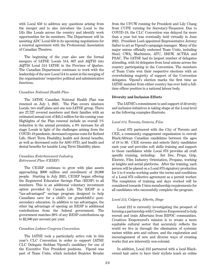with Local 659 to address any questions arising from the merger and to also introduce the Local to the IA's film Locals across the country and identify work opportunities for its members. The Department will be assisting ADC Local 659 in its upcoming negotiations for a renewal agreement with the Professional Association of Canadian Theatres.

The beginning of the year also saw the formal mergers of IATSE Locals 514, 667 and AQTIS into AQTIS Local 514 IATSE in the Province of Quebec. The Canadian Department continues to work with the leadership of the new Local 514 to assist in the merging of the organizations' respective political and administrative functions.

#### *Canadian National Health Plan*

The IATSE Canadian National Health Plan was renewed on July 1, 2021. The Plan covers nineteen Locals, two staff plans and one non-IATSE group. There are 27,727 covered members and their families with an estimated annual cost of \$45.5 million for the coming year. Highlights of the Plan renewal include an overall 1% reduction in the annual premium, a 0% increase for all stage Locals in light of the challenges arising from the COVID-19 pandemic, decreased expense costs for Refund Life, Short Term Disability, health and dental benefits, as well as decreased costs for ASO STD, and health and dental benefits for taxable Long Term Disability plans.

#### *Canadian Entertainment Industry Retirement Plan (CEIRP)*

The CEIRP continues to grow with plan assets approaching \$900 million and enrollment of 28,000 people. Starting in July 2021, CEIRP began offering the Registered Education Savings Plan (RESP) to all members. This is an additional voluntary investment option provided by Canada Life. The RESP is a "tax-advantaged" savings program designed to help Canadians save for a child's (or grandchild's) postsecondary education. In addition to tax advantages, the other big advantage of opening an RESP is additional contributions from the federal government. The government matches 20% of any RESP contributions up to \$2,500 per account per year.

#### *Canadian Labour Congress Convention*

The IATSE took a particularly active role in this year's CLC Convention in order to support IATSE CLC Delegate Siobhan Vipond's candidacy for one of the Executive Vice President positions. Vipond was part of Team Unite, which included Beatrice Bruske from the UFCW running for President and Lily Chang from CUPE running for Secretary-Treasurer. Due to COVID-19, the CLC Convention was delayed for more than a year but was eventually held virtually in June 2021. President Loeb appointed Representative Jeremy Salter to act as Vipond's campaign manager. Many of the major unions officially endorsed Team Unite, including Steel, CWA, Machinists, ATU, IBEW, ACTRA and PSAC. The IATSE had its largest number of delegates attending, with 54 delegates from local unions across the country participating in the Convention. The members of Team Unite won their respective elections with an overwhelming majority of support of the Convention delegates. Vipond's election marks the first time an IATSE member from either country has ever held a fulltime officer position in a national labour body.

#### **Diversity and Inclusion Efforts**

The IATSE's commitment to and support of diversity and inclusion initiatives is taking shape at the Local level as the following examples illustrate.

#### *Local 873, Toronto, Ontario, Film*

Local 873 partnered with the City of Toronto and CEE, a community engagement organization to recruit Black/African Canadian candidates between the ages of 18 to 30. CEE screens and selects thirty candidates each year and provides soft skills training and support to those candidates while Local 873 provides all craft specific training, including: Set Dec, Props, Grip, Electric, Film Industry Orientation, Propane, working at heights and aerial platforms. After the training, each person will be placed on a Local 873 signatory production for 5 to 6 weeks working under the terms and conditions of a Local 873 collective agreement as a permit worker. The completion of training and days worked will be considered towards Union membership requirements for all candidates who successfully complete the program.

#### *Local 212, Calgary, Alberta, Stage*

Local 212 is currently investigating the prospect of forming a partnership with Creatives Empowered to help recruit and train Albertans from BIPOC communities. Creatives Empowered's mission is to create a more equitable cultural sector that accurately reflects the world we live in through the elimination of systemic racism within arts and culture, and the exploration and encouragement of new and diverse ways of creating works that are inherently non-colonial.

In addition, Local 212 partnered with a local Blackowned hair salon to have their stylists teach an online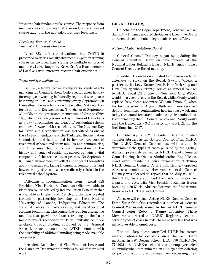"textured hair fundamentals" course. The response from members was so positive that a second, more advanced course taught on the hair salon premises took place.

#### *Local 822, Toronto, Ontario – Wardrobe, Hair and Make-up*

Local 822 took the downtime that COVID-19 presented to offer a socially-distanced, in-person training course on textured hair styling to multiple cohorts of members. It was taught by Erica Croft, a Black member of Local 357 with extensive textured hair experience.

#### *Truth and Reconciliation*

Bill C-5, a federal act amending various federal acts including the Canada Labour Code, created a new holiday for employees working in federally regulated workplaces beginning in 2021 and continuing every September 30 thereafter. The new holiday is to be called National Day for Truth and Reconciliation. The choice of September 30 builds on the grassroots momentum of Orange Shirt Day, which is already observed by millions of Canadians as a day to remember the legacy of residential schools and move forward with reconciliation. The National Day for Truth and Reconciliation was introduced as one of the 94 recommendations of the Truth and Reconciliation Commission and is intended to honour survivors of residential schools and their families and communities, and to ensure that public commemoration of the history and legacy of residential schools remains a vital component of the reconciliation process. On September 30, Canadians are meant to reflect and educate themselves about the issues still facing Indigenous communities, and how so many of these issues are directly related to the residential school system.

Following a recommendation from Local 828 President Nina Hartt, the Canadian Office was able to identify a course offered by Reconciliation Education that is available in English and French and that was created through a partnership involving the First Nations University of Canada, Indigenous Education: The National Centre for Collaboration, and the Aboriginal Healing Foundation. The course features ten interactive modules that provide anti-racist training on the basic foundations of reconciliation. It will initially be made available through funding approved by the General Executive Board to one hundred IATSE members, with the possibility of additional funding being made available as required.

President Loeb thanked Vice President Lewis and the Canadian Department members for all of their hard work.

#### **LEGAL AFFAIRS**

On behalf of the Legal Department, General Counsel Samantha Dulaney updated the General Executive Board on recent developments in legal matters and affairs.

#### *National Labor Relations Board*

General Counsel Dulaney began by updating the General Executive Board on developments at the National Labor Relations Board (NLRB) since the last General Executive Board meeting.

President Biden has nominated two union-side labor attorneys to serve on the Board: Gwynne Wilcox, a partner at the Levy Ratner firm in New York City, and Dave Prouty, who currently serves as general counsel to SEIU Local 32BJ, also in New York City. Wilcox would fill a vacant seat on the Board, while Prouty would replace Republican appointee William Emanuel, when his term expires in August. Both nominees received Senate committee confirmation hearings last week and today the committee voted to advance their nominations. If confirmed by the full Senate, Wilcox and Prouty would give the Democrats a 3-2 majority on the NLRB for the first time since 2017.

On February 17, 2021, President Biden nominated Jennifer Abruzzo as the General Counsel of the NLRB. The NLRB General Counsel has wide-latitude in determining the types of cases pursued by the agency. Abruzzo previously served as NLRB Deputy General Counsel during the Obama Administration. Republicans, upset over President Biden's termination of Trump NLRB General Counsel Peter Robb, strongly opposed Abruzzo's nomination. However, General Counsel Dulaney was pleased to report that on July 23, 2021, the full US Senate approved Abruzzo's nomination on a party-line vote, with Vice President Kamala Harris breaking a 50-50 tie. Abruzzo becomes the first woman to serve as NLRB General Counsel.

Abruzzo will replace Acting NLRB General Counsel Peter Sung Ohr. Ohr rescinded a number of General Counsel Memoranda issued by former NLRB General Counsel Peter Robb, a Trump appointee. These Memoranda directed the NLRB's Regions to seek out certain types of cases in order to make new law that was more favorable to employers.

The still Republican-controlled NLRB has issued several noteworthy decisions since the last Board meeting. In SW Design School, LLC, 370 NLRB No. 77 (2021), the NLRB concluded that an employer acted unlawfully when it terminated an employee for violating its policy prohibiting employees from discussing their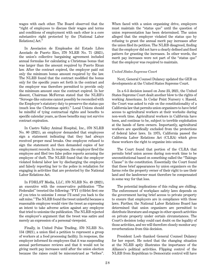wages with each other. The Board observed that the "right of employees to discuss their wages and terms and conditions of employment with each other is a core substantive right protected by the [National Labor Relations] Act."

In Asociacion de Empleados del Estado Libre Asociado de Puerto Rico, 370 NLRB No. 71 (2021), the union's collective bargaining agreement included annual formulas for calculating a Christmas bonus that was larger than the amount required by Puerto Rican law. After the contract expired, the employer paid out only the minimum bonus amount required by the law. The NLRB found that the contract modified the bonus only for the specific years set forth in the contract and the employer was therefore permitted to provide only the minimum amount once the contract expired. In her dissent, Chairman McFerran stated that the NLRB's "Scrooge-like outcome cannot possibly be reconciled with the Employer's statutory duty to preserve the status quo (much less the Christmas spirit)." Local Unions should be mindful of tying contractual rights and benefits to specific calendar years, as those benefits may not survive contract expiration.

In Castro Valley Animal Hospital, Inc., 370 NLRB No. 80 (2021), an employer demanded that employees sign a statement indicating that they had always received proper meal breaks. One employee refused to sign the statement and then demanded copies of her employment records. In response, the employer fired the employee and filed two false police reports accusing the employee of theft. The NLRB found that the employer violated federal labor law by discharging the employee and falsely reporting her to the police in retaliation for engaging in activities that are protected by the National Labor Relations Act.

In FDRLST Media, LLC, 370 NLRB No. 49 (2021), an executive with the conservative publication "The Federalist" tweeted the following: "FYI @fdrlst first one of you tries to unionize I swear I'll send you back to the salt mine." The NLRB found the tweet unlawful because a reasonable employee would view the tweet as expressing an intent to take adverse action against any employee that tried to unionize the publication. The NLRB rejected the employer's argument that the tweet was satire and merely an expression of a personal viewpoint.

Finally, in United Pulse Trading, 370 NLRB No. 134 (2021), a union filed a petition to represent a group of workers at a food processing facility. In response, the employer informed its employees that it was suspending annual performance reviews and that it would not be giving merit pay increases until after the union election because the raises could be misconstrued as "bribes".

When faced with a union organizing drive, employers must maintain the "status quo" until the question of union representation has been determined. The union alleged that the employer violated the status quo by refusing to grant the annual merit pay increases after the union filed its petition. The NLRB disagreed, finding that the employer did not have a clearly defined and fixed pattern for granting the increases. In other words, the merit pay increases were not part of the "status quo" that the employer was required to maintain.

#### *United States Supreme Court*

Next, General Counsel Dulaney updated the GEB on developments at the United States Supreme Court.

In a 6-3 decision issued on June 23, 2021, the United States Supreme Court dealt another blow to the rights of working Americans. In Cedar Point Nursery v. Hassid, the Court was asked to rule on the constitutionality of a California law that permits union organizers to have brief access to agricultural workers at their worksite during non-work time. Agricultural workers in California have been, and continue to be, subject to terrible exploitation at the hands of farm owners. Importantly, agricultural workers are specifically excluded from the protections of federal labor laws. In 1975, California passed the California Labor Relations Act (CLRA) which gives these workers the right to organize into unions.

The Court found that portion of the CLRA that permits brief union access during non-work time to be unconstitutional based on something called the "Takings Clause" in the constitution. Essentially the Court found that these brief appearances by union organizers on the farms robs the property owner of their right to use their land and the landowner must therefore be compensated in some way for that loss.

The potential implications of this ruling are chilling. The enforcement of workplace safety laws depends on the government having brief access to private property to ensure that employers are in compliance with those laws. Further, the National Labor Relations Board has determined that union organizers are permitted to distribute literature and engage in other speech activities on private property under certain circumstances. The Court's decision today could cast doubt on the legality of those activities, and we will therefore closely monitor any reverberations from this decision.

President Loeb thanked General Counsel Dulaney for her report. He noted that the changing situation at the NLRB aptly illustrates the importance of the Alliance's political activities. Flipping control of the NLRB from Republican to Democratic control will have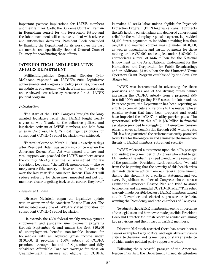important positive implications for IATSE members and their families. Sadly, the Supreme Court will remain in Republican control for the foreseeable future and the labor movement will continue to deal with adverse and anti-worker decisions. President Loeb concluded by thanking the Department for its work over the past six months and specifically thanked General Counsel Dulaney for coordinating those efforts.

#### **IATSE POLITICAL AND LEGISLATIVE AFFAIRS DEPARTMENT**

Political/Legislative Department Director Tyler McIntosh reported on IATSE's 2021 legislative achievements and progress on policy priorities, provided an update on engagement with the Biden administration, and reviewed new advocacy resources for the IATSE political program.

#### *Introduction*

The start of the 117th Congress brought the longawaited legislative relief that IATSE fought nearly a year to win. Thanks to the collective political and legislative activism of IATSE members, and help from allies in Congress, IATSE's most urgent priorities for subsequent COVID-19 relief legislation was achieved.

That relief came on March 11, 2021 – exactly 50 days after President Biden was sworn into office – when the American Rescue Plan Act was signed into law and vital support was provided for IATSE members across the country. Shortly after the bill was signed into law President Loeb said, "the IATSE membership — like so many across this country — have endured far too much over the last year. The American Rescue Plan Act will reduce suffering for those most impacted and put our members closer to getting back to the careers they love."

#### *Legislative Update*

Director McIntosh began the legislative update with an overview of the American Rescue Plan Act. The bill included every one of IATSE's stated priorities for subsequent COVID-19 relief legislation.

 It extends the \$300 federal weekly unemployment supplement and pandemic unemployment programs through September 6; and makes the first \$10,200 of unemployment benefits non-taxable income for households with an adjusted gross income under \$150,000. It provides a 100% subsidy of COBRA premiums through the end of September and fully subsidizes Affordable Care Act coverage for those on Unemployment Insurance not eligible for COBRA.

It makes 501(c)(5) labor unions eligible for Paycheck Protection Program (PPP) forgivable loans. It protects the IA's healthy pension plans and delivered generational relief for the multiemployer pension system. It provided \$1,400 direct payments to individuals making less than \$75,000 and married couples making under \$150,000, as well as dependents; and partial payments for those making under \$80,000 and couples under \$160,000. It appropriates a total of \$445 million for the National Endowment for the Arts, National Endowment for the Humanities, and Corporation for Public Broadcasting; and an additional \$1.25 billion for the Shuttered Venue Operators Grant Program established by the Save Our Stages bill.

IATSE was instrumental in advocating for these provisions and was one of the driving forces behind increasing the COBRA subsidy from a proposed 85% to a full 100% and getting PPP access for labor unions. In recent years, the Department has been reporting on efforts to combat cuts and reforms to the multiemployer pension system that have been proposed and would have impacted the IATSE's healthy pension plans. The generational relief in this bill is \$86 billion in financial assistance provided to struggling multiemployer pension plans, to cover all benefits due through 2051, with no cuts. This law has guaranteed the retirement security promised to workers for the long-term and eliminated the immediate threats to IATSE members' retirement security.

IATSE released a statement upon the bill's passage applauding every member of Congress who voted to get IA members the relief they need to endure the remainder of the pandemic. President Loeb remarked, "we said from the beginning that the severity of this health crisis demands decisive action from our federal government. Saying this shouldn't be a partisan statement and yet, every Republican member of Congress chose to vote against the American Rescue Plan and tried to stand between us and meaningful COVID-19 relief." This relief was only made possible because IATSE members turned out in November and elected a pro-worker trifecta, winning the Presidency and both chambers of Congress.

To educate the IATSE membership on the importance of this legislation and how it was made possible, President Loeb and Director McIntosh recorded a video explaining key provisions and the impact on IATSE members.

Director McIntosh asserted there has never been a clearer example of why political and legislative activism is critical to the union and its members, or starker evidence of which major political party supports workers.

Following the successful passage of the American Rescue Plan Act, the Department turned its attention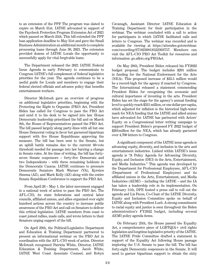to an extension of the PPP. The program was slated to expire on March 31st. IATSE advocated in support of the Paycheck Protection Program Extension Act of 2021 which passed on March 25th. This bill extended the PPP loan application deadline to May 31st and gave the Small Business Administration an additional month to complete processing loans through June 30, 2021. The extension provided dozens of IATSE Locals the opportunity to successfully apply for vital forgivable loans.

The Department released the 2021 IATSE Federal Issue Agenda in early February to communicate to Congress IATSE's full complement of federal legislative priorities for the year. The agenda continues to be a useful guide for Locals and members to engage their federal elected officials and advance policy that benefits entertainment workers.

Director McIntosh gave an overview of progress on additional legislative priorities, beginning with the Protecting the Right to Organize (PRO) Act. President Biden has called for Congress to pass the PRO Act and send it to his desk to be signed into law. House Democratic leadership prioritized the bill and on March 9th, the House of Representatives passed the PRO Act. The bill passed largely along party-lines with all but one House Democrat voting in favor but garnered bipartisan support with five House Republicans approving the measure. The bill has been sent to the Senate, but an uphill battle remains due to the current 60-vote threshold needed for passage into law barring a change in Senate rules. At the time of writing, the bill has fortyseven Senate cosponsors – forty-five Democrats and two Independents – with three remaining holdouts in the Democratic Caucus. IATSE continues to pressure Democratic Senators Mark Warner (VA), Kyrsten Sinema (AZ), and Mark Kelly (AZ) along with the entire Senate Republican Conference to support the PRO Act.

From April 26 – May 1, the labor movement engaged in a national week of action to pass the PRO Act. The AFL-CIO, its state federations and central labor councils, affiliated unions, and allies organized over eight hundred actions across the country to increase public awareness of the PRO Act and call on Senators to deliver this critical legislation. IATSE members from coast to coast joined rallies, made calls, and wrote letters to their Senators urging support of the bill.

On April 29th, the Political/Legislative Department and Education & Training Department partnered to present an informational webinar on the PRO Act in coordination with the AFL-CIO week of action. Director McIntosh recognized Patricia White, Director, IATSE Education & Training Department, Jacob White, IATSE West Coast Associate Counsel, and Robyn

Cavanagh, Assistant Director IATSE Education & Training Department for their participation in the webinar. The webinar concluded with a call to action for participants in which IATSE facilitated calls and letters to Congress. The webinar was recorded and is available for viewing at https://attendee.gotowebinar. com/recording/6710230818522303757. Members can visit the AFL-CIO PRO Act Toolkit for resources and information: go.aflcio.org/PROAct.

On May 28th, President Biden released his FY2022 budget proposal. The budget includes \$201 million in funding for the National Endowment for the Arts (NEA). This proposed increase of \$33.5 million would be a record-high for the agency if enacted by Congress. The International released a statement commending President Biden for recognizing the economic and cultural importance of investing in the arts. President Biden has set the stage for the agency's annual funding level to quickly reach \$331 million, or one dollar per capita, which adjusted for inflation is the historical high-water mark for NEA funding that the IATSE and allied unions have advocated for. IATSE has partnered with Actors' Equity on a Congressional letter writing campaign to support President Biden's proposed FY 2022 budget of \$201 million for the NEA, which has already garnered over 4,700 letters to Congress.

A significant component of the IATSE issue agenda is advancing equity, diversity, and inclusion in the arts and entertainment industries. Linked within IATSE's issue agenda is "A Policy Agenda for Advancing Diversity, Equity, and Inclusion (DEI) in the Arts, Entertainment, and Media Industries." This agenda was developed by the Department for Professional Employees, AFL-CIO (Department of Professional Employees) and its affiliated unions in the Arts, Entertainment, and Media Industries (AEMI) – including the IATSE – and the IA has taken a leadership role in its implementation. On February 11th, DPE hosted a press call to roll out the agenda and Liz Pecos, Co-Chair of the IATSE Diversity, Equity and Inclusion Committee spoke on behalf of IATSE along with President Loeb. A strong commitment to racial equity and justice is seen throughout the Biden administration's FY2022 budget, including several AEMI policy agenda items.

On February 25th, the House passed the Equality Act, a comprehensive piece of LGBTQIA+ civil rights legislation and longtime legislative priority of the IATSE. The IATSE Pride Committee drafted a statement in support of the Equality Act following House passage imploring the U.S. Senate to pass the bill. The bill has forty-eight Democratic cosponsors in the Senate. It will need to garner bipartisan support to obtain the sixty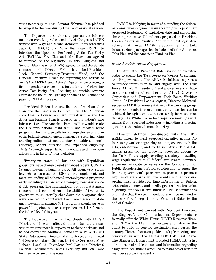votes necessary to pass. Senator Schumer has pledged to bring it to the floor during this Congressional session.

The Department continues to pursue tax fairness for union creative professionals. Last Congress IATSE worked with Ways and Means Members Representatives Judy Chu (D-CA) and Vern Buchanan (R-FL) to introduce the bipartisan Performing Artist Tax Parity Act (PATPA). Ms. Chu and Mr. Buchanan agreed to reintroduce the legislation in this Congress and Senator Mark Warner (D-VA) agreed to lead the Senate companion bill. Director McIntosh thanked President Loeb, General Secretary-Treasurer Wood, and the General Executive Board for approving the IATSE to join SAG-AFTRA and Actors' Equity in contracting a firm to produce a revenue estimate for the Performing Artist Tax Parity Act. Securing an outside revenue estimate for the bill will greatly enhance the likelihood of passing PATPA this year.

President Biden has unveiled the American Jobs Plan and the American Families Plan. The American Jobs Plan is focused on hard infrastructure and the American Families Plan is focused on the nation's care infrastructure. The American Families Plan would create the US' first national paid family and medical leave program. The plan also calls for a comprehensive reform of the federal unemployment insurance system, including enacting uniform national standards to address benefit adequacy, benefit duration, and expanded eligibility. IATSE strongly supports both proposals and have been advocating in favor of their inclusion.

Twenty-six states, all but one with Republican governors, have chosen to end enhanced federal COVID-19 unemployment benefits early. All twenty-six states have chosen to cease the \$300 federal supplement, and most are ending all enhanced unemployment programs early, including the Pandemic Unemployment Assistance (PUA) program. The International put out a statement condemning these decisions. The ability of twenty-six governors to unilaterally shut down the programs that were created to counteract the inadequacies of state unemployment insurance (UI) programs should serve as powerful impetus to enact comprehensive UI reform at the federal level this year.

The Department has worked closely with IATSE Districts and Locals in affected states to facilitate contact with their governors in opposition to these decisions and helped coordinate additional actions through AFL-CIO State Federations. Director McIntosh recognized Local 101 Secretary Mark Chizmar, District 8 Secretary Mike Lehane, Local 631 President Paul Cox, and District 6 Political Coordinators Taneia Lednicky and Jon Lowe for their activism on the issue.

IATSE is lobbying in favor of extending the federal pandemic unemployment insurance programs past their proposed September 6 expiration date and supporting the comprehensive UI reforms proposed in President Biden's American Families Plan on the next legislative vehicle that moves. IATSE is advocating for a bold infrastructure package that includes both the American Jobs Plan and the American Families Plan.

#### *Biden Administration Engagement*

On April 26th, President Biden issued an executive order to create the Task Force on Worker Organizing and Empowerment. The AFL-CIO initiated a process to provide information to, and engage with, the Task Force. AFL-CIO President Trumka asked every affiliate to name a senior staff member to the AFL-CIO Worker Organizing and Empowerment Task Force Working Group. At President Loeb's request, Director McIntosh serves as IATSE's representative on the working group. Any recommendations made must be things that can be achieved through executive action to help increase union density. The White House held separate meetings with unions from specified industries – including a meeting specific to the entertainment industry.

Director McIntosh coordinated with the DPE AEMI unions to draft proposed executive actions for increasing worker organizing and empowerment in the arts, entertainment, and media industries. The AEMI unions presented the following proposed actions to the Task Force: apply existing statutory prevailing wage requirements to all federal arts grants; nominate a worker advocate to serve on the Corporation for Public Broadcasting's Board of Directors; leverage the federal government's procurement process to promote high road standards in live events and audiovisual productions; provide real time information on federal arts, entertainment, and media grants; broaden union eligibility for federal arts funding. The Department is optimistic that the recommendations will be included in the Task Force's report due to President Biden by the end of October.

The Department worked with President Loeb and the Stagecraft and Communications Departments to formally offer the White House COVID Response Team and FEMA the IA's infrastructure and labor in the effort to build or convert vaccination sites across the country. The collaboration yielded multiple meetings and conversations with the FEMA COVID-19 Task Force. The Stagecraft Department provided FEMA with a list of hundreds of viable venues and information regarding Stagecraft local unions which led to instances of work for members across the country.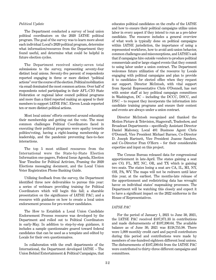#### *Political Update*

The Department conducted a survey of local union political coordinators on the 2020 IATSE political program. The goal of the survey was to learn more about each individual Local's 2020 political program, determine what information/resources from the Department they found useful, and determine what could be helpful in future election cycles.

The Department received ninety-seven total submissions to the survey, representing seventy-four distinct local unions. Seventy-five percent of respondents reported engaging in three or more distinct "political actions" over the course of the election. Political mobilization via email dominated the most common actions. Over half of respondents noted participating in their AFL-CIO State Federation or regional labor council political programs and more than a third reported making an appeal to their members to support IATSE PAC. Eleven Locals reported ten or more distinct political actions.

Most local unions' efforts centered around educating their membership and getting out the vote. The most common challenges Political Coordinators faced in executing their political programs were apathy towards politics/voting, having a right-leaning membership or leadership, and the pandemic preventing face-to-face interactions.

The top 5 most utilized resources from the International were the State-by-State Election Information one-pagers, Federal Issue Agenda, Election Year Timeline for Political Activism, Framing the 2020 Elections messaging document, and the Local Union Voter Registration Phone Banking Guide.

Utilizing feedback from the survey, the Department identified three new deliverables to pursue this year: a series of webinars providing training for Political Coordinators which will begin this fall; a sharable presentation on the significance of IATSE PAC; and a resource with guidance on how to create a local union endorsement process for pro-worker candidates.

The How to Establish a Local Union Candidate Endorsement Process resource was developed by the Department and rolled out to Political Coordinators in early-May. In addition to step-by-step guidance, it includes a sample questionnaire geared toward federal candidates that can be used as a template and edited by Locals for their own questionnaires.

In collaboration with the craft departments of the International, the Department developed IATSE – The Union Behind Entertainment & Political Campaigns, that

educates political candidates on the crafts of the IATSE and how to ensure their political campaigns utilize union labor in every aspect if they intend to run as a pro-labor candidate. The resource includes a general overview of what work is typically done on political campaigns within IATSE jurisdiction, the importance of using a represented workforce, how to avoid anti-union behavior, common challenges and misconceptions, and IATSE's ask that if campaigns hire outside vendors to produce political commercials and/or large staged events that they commit to using labor under a union contract. The Department welcomes future utilization of the resource by Locals engaging with political campaigns and plan to provide it to candidates for elected office when they request our support. Director McIntosh, with vital support from Special Representative Chris O'Donnell, has met with senior staff at key political campaign committees in Washington, DC – including the DCCC, DSCC, and DNC – to request they incorporate the information into candidate training programs and ensure their content and events are always under a union contract.

Director McIntosh recognized and thanked the Motion Picture & Television, Stagecraft, Tradeshow, and Broadcast Departments – specifically Assistant Director Daniel Mahoney, Local 481 Business Agent Chris O'Donnell, Vice President Michael Barnes, Co-Director D. Joseph Hartnett, Vice President Joanne Sanders, and Co-Director Fran O'Hern – for their considerable expertise and input on this project.

The Census Bureau released data for congressional apportionment in late-April. The states gaining a seat are CO, FL, MT, NC, OR, and TX which is gaining two seats. The states losing a seat are CA, IL, MI, NY, OH, PA, WV. The maps will not be redrawn until later this year, at the earliest. The months-late release of the apportionment and redistricting data has wrought havoc on individual states' mapmaking processes. The Department will be watching this closely and expect it to have a significant impact on the 2022 midterms in the House of Representatives.

#### *IATSE PAC*

For the period of January 1, 2021 to June 30, 2021, the IATSE PAC received \$107,971.33 in contributions and made disbursements of \$107,390.64. The available balance as of June 30, 2021 was \$138,755.98. There were 1,099 monthly credit card and payroll contributors during this period and contributions were made by members of one-hundred eighteen different local unions. The disbursements of \$107,390.64 from the IATSE PAC were contributed to thirty-three different campaigns and committees.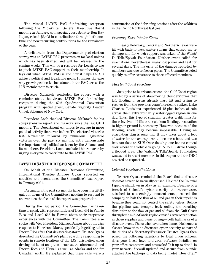The virtual IATSE PAC fundraising reception following the Mid-Winter General Executive Board meeting in January, with special guest Senator Ben Ray Lujan, raised \$8,405 in contributions through both onetime and new recurring contributions for the remainder of the year.

A deliverable from the Department's post-election survey was an IATSE PAC presentation for local unions which has been drafted and will be released in the coming weeks. This will be a resource for Locals to use to pitch IATSE PAC support to their membership. It lays out what IATSE PAC is and how it helps IATSE achieve political and legislative goals. It makes the case why growing collective investment in the PAC across the U.S. membership is crucial.

Director McIntosh concluded the report with a reminder about the virtual IATSE PAC fundraising reception during the 69th Quadrennial Convention program with special guest, Senate Majority Leader Chuck Schumer of New York.

President Loeb thanked Director McIntosh for his comprehensive report and his work since the last GEB meeting. The Department continues to engage in more political activity than ever before. The electoral victories last November, followed by numerous legislative victories over the past six months, aptly demonstrate the importance of political activism by the Alliance and its members. President Loeb concluded his remarks by urging everyone to contribute to the IATSE PAC.

#### **IATSE DISASTER RESPONSE COMMITTEE**

On behalf of the Disaster Response Committee, International Trustee Andrew Oyaas reported on activities and events since the Committee's last report in January 2021.

Fortunately, the past six months have been mercifully quiet in terms of the Committee's needing to respond to an event, so the focus of the report was preparation.

During the last period, the Committee has taken time to speak with representatives of Local 494 in Puerto Rico and Local 665 in Hawaii about their respective experiences with the Committee. The Committee also spoke with Vice President Michael Barnes about the IA's response to Hurricane Maria, specifically in getting aid to Puerto Rico after that devastating storm. Trustee Oyaas described the Committee's plan regarding responding to events in remote locations of the IA's jurisdiction when driving aid is not an option—such as the aforementioned Puerto Rico and Hawaii as well as Alaska and the far Canadian north. He explained that these calls were a

continuation of the debriefing sessions after the wildfires in the Pacific Northwest last year.

#### *February Texas Winter Storm*

In early February, Central and Northern Texas were hit with back-to-back winter storms that caused major damage and for which support was asked of the Walsh/ Di Tolla/Spivak Foundation. Neither event called for evacuations, nevertheless, many lost power and heat for several days. The majority of the damage reported by members was due to frozen pipes. The Committee acted quickly to offer assistance to these affected members.

#### *May Gulf Coast Flooding*

Just prior to hurricane season, the Gulf Coast region was hit by a series of slow-moving thunderstorms that left flooding in areas already hard hit and trying to recover from the previous years' hurricane strikes. Lake Charles, Louisiana experienced 12-plus inches of rain across their extraordinarily waterlogged region in one day. Thus, this type of situation creates a dilemma for those involved. If life is at risk from flooding, evacuation to higher ground is necessary. However, because of the flooding, roads may become impassable. Having an evacuation plan is essential. It only takes about a foot of water for the average car to become a boat, and two feet can float an SUV. Once floating, one has no control over where the vehicle is going. NEVER drive though a flooded area. The Walsh/Di Tolla/Spivak Foundation was asked to assist members in this region and the DRC assisted as requested.

#### *Colonial Pipeline Shutdown*

Trustee Oyaas reminded the Board that a disaster does not have to be naturally caused. He cited the Colonial Pipeline shutdown in May as an example. Because of a breach of Colonial's cyber security, the ransomware, attached to a seemingly innocent email, caused the company to halt the flow of oil and gas in their pipelines because they could not control the safety valves. Before the pipeline was brought back online, the resulting disruption to the flow of gas and oil from the Gulf Coast through the mid-Atlantic region caused a severe reduction in those supplies and panic buying—both hallmarks of a disaster event. Those who have taken James Heinzman's classes know that he discusses cyber security as part of the duties of a Secretary-Treasurer. Trustee Oyaas then posed the following questions to local union officers: does your Local have anti-virus software installed on your office computers and networks? Is it up to date? Is your network firewall updated and secure from outside attacks? Are back-ups of data being made? How often?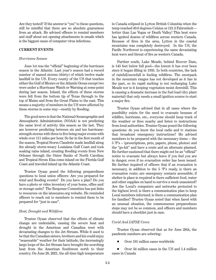Are they tested? If the answer is "yes" to these questions, still be mindful that there are no absolute guarantees from an attack. He advised officers to remind members and staff about not opening attachments in emails which is the biggest cause of computer virus infections.

#### **CURRENT EVENTS**

#### *Hurricane Season*

June 1st was the "official" beginning of the hurricane season in the Atlantic. Last year's season had a record number of named storms (thirty) of which twelve made landfall in the US. Every county of the US that touches either the Gulf of Mexico or the Atlantic Ocean except two were under a Hurricane Watch or Warning at some point during last season. Inland, the effects of these storms were felt from the bottom tip of Texas through to the top of Maine and from the Great Plains to the east. This means a majority of members in the US were affected by these storms in some way—mostly by flooding.

The good news is that the National Oceanographic and Atmospheric Administration (NOAA) is not predicting the same level of activity this season as the last. They are however predicting between six and ten hurricanestrength storms with three to five being major events with winds over 111 miles per hour. So far in the first month of the season, Tropical Storm Claudette made landfall along the already storm-weary Louisiana Gulf Coast and took soaking rains inland, creating flooding events from New Orleans through the Outer Banks of North Carolina; and Tropical Strom Elsa come inland on the Florida Gulf Coast and traveled inland up the Atlantic Coast.

Trustee Oyaas posed the following preparedness questions to local union officers: Are you prepared for wind and flooding events? Do you have a plan? Do you have a photo or video inventory of your home, office and/ or storage units? The Response Committee has put links to resources on the iatsecares.org website. He reminded officers to reach out to members to remind them to be prepared for "just in case".

#### *Heat, Drought and Wildfires*

Trustee Oyaas observed that the effects of climate change are undeniable, causing the severe heat and drought in the American and Canadian west with devastating changes to the Jet Stream. While it used to be that the Canadian sisters, brothers and kin could enjoy "seasonable" weather for their latitude, the increasingly large loops of the Jet Stream have brought the scorching heat from the American Southwest north to their country. On June 28, 2021, the all-time high temperature in Canada eclipsed in Lytton British Columbia when the temp reached 49.6 degrees Celsius or 121.3 Fahrenheit hotter than Las Vegas or Death Valley! This heat wave has ignited dozens of wildfires across western Canada. Because of fires in the area, Lytton in the coastal mountains was completely destroyed. In the US, the Pacific Northwest is experiencing the same devastating heat wave and threat of fire as western Canada.

Further south, Lake Meade, behind Hoover Dam, is 143 feet below full pool—the lowest it has ever been since it began filling in 1935. In both countries, the lack of rainfall/snowfall is fueling wildfires. The snowpack in the mountain ranges has not developed as it has in the past, so its rapid melting is not recharging Lake Meade nor is it keeping vegetation moist downhill. This is causing a dramatic increase in the fuel load (dry plant material) that only needs a small ignition source to start a major fire.

Trustee Oyaas advised that in all cases where the possibility exists for the need to evacuate because of wildfire, hurricane, etc., everyone should keep track of the weather or fires nearby and listen to instructions from local authorities. Trustee Oyaas posed the following questions: do you know the local radio and tv stations that broadcast emergency instructions? He advised members to be prepared with the necessary items -- the 5 'P's – (prescriptions, pets, papers, phone, photos) and the "go-kit" and have a route and an alternate planned. He further cautioned that there might not be an "official" notice to evacuate but always leave if you feel you are in danger, even if no evacuation order has been issued. He further inquired of officers that if an evacuation is necessary, in addition to the 5 'P's ready, is there an evacuation route; are emergency contacts accessible; if shelter in place is required is there sufficient food, water and other supplies on hand to survive a week unassisted? Are the Local's computers and networks protected to the highest level; is there a communication plan to keep Local members informed; is there a communication plan for families? Trustee Oyaas noted that when faced with an unusual situation, the commonsense preparedness steps may not be so common, and officers and members should have a checklist just in case.

#### *Covid And IATSE Cares*

Trustee Oyaas observed that as for June 28th, the pandemic numbers are sobering:

Over 191 million cases worldwide

 Over 34 million cases in the US and 1.4 million cases in Canada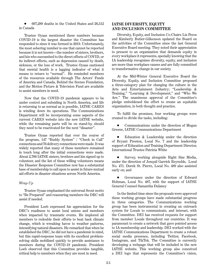607,289 deaths in the United States and 26,512 in Canada

Trustee Oyaas mentioned these numbers because COVID-19 is the largest disaster the Committee has responded to since it was formed in 2019. Unfortunately, the most sobering number is one that cannot be reported because it is not known—the number of sisters, brothers, and kin who succumbed to the direct effects of COVID, or its indirect effects, such as depression caused by death, sickness, or the loss of work. Trustee Oyaas cautioned that mental health is a lagging indicator of what it means to return to "normal". He reminded members of the resources available through The Actors' Funds of America and Canada, Behind the Scenes Foundation, and the Motion Picture & Television Fund are available to assist members in need.

Now that the COVID-19 pandemic appears to be under control and subsiding in North America, and life is returning to as normal as is possible, IATSE CARES is winding down its operations. The Communications Department will be incorporating some aspects of the current CARES website into the new IATSE website, while the remaining parts will be on stand-by, should they need to be reactivated for the next "disaster".

Trustee Oyaas reported that over the course of the program, 147 "Buddy System" / "Check in Call" connections and 76 delivery connections were made. It was widely reported that many of these members remained in touch long after the initial connections were made. About 2,700 IATSE sisters, brothers and kin signed up to volunteer, and the list of these willing volunteers means the Disaster Response Committee now has a substantial base of membership to call upon to assist in future mutual aid efforts in disaster situations across North America.

#### *Wrap Up*

Trustee Oyaas emphasized the universal Scout motto to "Be Prepared" and reassuring members the DRC will assist if needed.

President Loeb expressed his appreciation for the DRC's readiness to assist local unions and members when impacted by traumatic events. He implored all members to redouble their efforts to beat back climate change, which is wreaking havoc to weather patterns, intensifying natural disasters. He remarked that when he established the DRC, he did not have a pandemic in mind, but this rapid-response team with its excellent problemsolving skills mobilized quickly to provide assistance to members during the COVID-19 pandemic. President Loeb observed that this Committee provides tangible, critical help to members when they are most in need.

#### **IATSE DIVERSITY, EQUITY AND INCLUSION COMMITTEE**

Diversity, Equity, and Inclusion Co-Chairs Liz Pecos and Kimberly Butler-Gilkenson updated the Board on the activities of the Committee since the last General Executive Board meeting. They noted their appreciation to present to an organization that demands equity in every workplace it represents, specially knowing that the IA leadership recognizes diversity, equity, and inclusion are more than workplace causes and are fully committed to transformative change in our society.

At the Mid-Winter General Executive Board the Diversity, Equity, and Inclusion Committee proposed a three-category plan for changing the culture in the Arts and Entertainment Industry; "Leadership & Training," "Learning & Development," and "Who We Are." The unanimous approval of the Committee's pledge emboldened the effort to create an equitable organization, in both thought and practice.

To fulfill the promises, four working groups were created to divide the tasks, including:

 Communications under the direction of Megan Greene, IATSE Communications Department

 Education & Leadership under the direction of Bryant Preston, Local No. 7 and the leadership support of Education and Training Department Director, International Trustee Patricia White

 Survey, working alongside Right Size Media, under the direction of Jonquil Garrick Reynolds, Local No. 471. Derek St. Pierre, Local No. 489 also assisted early on; and

 Governance under the direction of Edward Hohman, Local No. 487, with the support of IATSE General Counsel Samantha Dulaney

In the limited time since the proposals were approved these working groups have made substantial progress in three categories. The Communications working group has been instrumental in creating an outreach system for Locals to communicate, and interact, with the Committee. DEI has received requests for support from member Locals throughout our countries. It was paramount to create a network that gave pointed access to IA membership and leadership. DEI worked with the IATSE Communications Department to create a robust social media presence, including Twitter, Facebook, Instagram, and TikTok. The Committee is currently developing a webpage that will be included in the new IATSE website. This working group also conceived a DEI logo that represents the Committee's vision,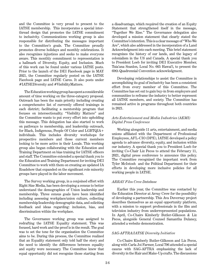and the Committee is very proud to present to the IATSE membership. This incorporates a special interthread design that promotes the IATSE commitment to inclusivity. Communications working group is also responsible for distributing the messages important to the Committee's goals. The Committee proudly promotes diverse holidays and monthly celebrations. It also recognizes injustices and seeks to make everyone aware. This monthly commitment to representation is a hallmark of Diversity, Equity, and Inclusion. Much of this work can be found under various IATSE posts. Prior to the launch of the DEI Facebook page in MAY 2021, the Committee regularly posted on the IATSE Facebook page and IATSE Cares. It also posts under #IATSEDiversity and #VisibilityMatters.

The Education working group has spent a considerable amount of time working on the three-category proposal. Outreach has been the main priority including creating a comprehensive list of currently offered trainings in each district; facilitating a mentorship program that focuses on intersectionality. "Visibility Matters" and the Committee wants to put every effort into upholding this message. This delegation has also started to work on pathways to membership, and leadership outreach, for Black, Indigenous, People Of Color and LGBTQIA+ individuals. This includes diversity workshops for prospective members and those current members looking to be more active in their Locals. This working group also began collaborating with the Education and Training Department on bias training for IATSE officers and staff. The Committee extended a special thank you to the Education and Training Department for inviting DEI Committee to work with them on creating an updated IA Roadshow that expanded on the significant role minority groups have played in the labor movement.

The Survey working group, in a conjoined effort with Right Size Media, has been developing a census to better understand the demographics of Union leadership and membership. Three census goals have been identified including assessing workplace/union culture, collecting membership/leadership demographic data, and soliciting feedback and ideas regarding: inclusion, bias, and discrimination within the workplace.

The Governance working group was assigned to redrafting the IATSE Equality statement. This was focused, hard work and the proof is in the result. The goal was to set the tone for the organization the Committee aims to be. During this process, the Committee realized that an Equality statement only told half the story and the need to identify the differences between equality and equity were necessary. The Committee knew that equal opportunity did not recognize those starting from

a disadvantage, which required the creation of an Equity Statement that strengthened itself in the message, "Together We Rise." The Governance delegation also developed a mission statement that clearly stated the Committee's intention. This is a clear message of "Who We Are", which also addressed in the incorporation of a Land Acknowledgment into each meeting. This brief statement recognizes the history of our lands, and the legacy of colonialism in the US and Canada. A special thank you to President Loeb for inviting DEI Executive Member, Tuia'ana Scanlon, Local No. 665 Hawai'i, to present the 69th Quadrennial Convention acknowledgment.

Developing relationships to assist the Committee in accomplishing its goal of inclusivity has been a consistent effort from every member of this Committee. The Committee has set out to gain buy-in from employers and communities to reframe the industry to better represent all IATSE members, and society. The Committee has remained active in programs throughout both countries in 2021.

#### *Arts Entertainment and Media Industries (AEMI) Digital Press Conference*

Working alongside 11 arts, entertainment, and media unions affiliated with the Department of Professional Employees, AFL-CIO (DPE), IATSE developed a policy agenda to advance diversity, equity, and inclusion within our industry. A special thank you to President Loeb for inviting Co-Chair Liz Pecos to attend the February 11, 2021, digital press conference to announce this policy. The Committee recognized the important work from Tyler McIntosh and the Political Department for their efforts in developing more inclusive policies for all working people in IATSE.

#### *ARRAY Film Crew Database*

Earlier this year, the Committee was contacted by the Education Director at Array Crew for the possibility of developing a partnership. This Ava Duvernay project describes themselves as an equal opportunity platform, with a mission to support professionals in the film and television industry from underrepresented populations. In April, Co-Chairs Kimberly Butler-Gilkeson & Liz Pecos, alongside General Counsel Samantha Dulaney, attended a website demonstration.

#### *SAG-AFTRA/IATSE Diversity Initiative*

Co-Chairs Kimberly Butler-Gilkeson and Liz Pecos, along with Carla Joi Farmer, Local 706 attended a special caucus with SAG-AFTRA emphasizing the lack of diversity in the Hair and Make-Up crafts. The discussions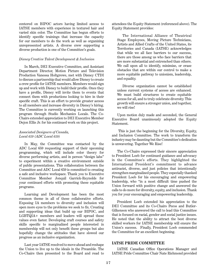centered on BIPOC actors having limited access to IATSE members with experience in textured hair and varied skin color. The Committee has begun efforts to identify specific trainings that increase the capacity for our members to do the work as well as organizing unrepresented artists. A diverse crew supporting a diverse production is one of the Committee's goals.

#### *Disney Creative Talent Development & Inclusion*

In March, DEI Executive Committee, and Assistant Department Director, Motion Picture and Television Production Vanessa Holtgrewe, met with Disney CTDI to discuss a partnership that would allow Disney to create a crew profile for IATSE members. Members would sign up and work with Disney to build their profile. Once they have a profile, Disney will invite them to events that connect them with productions looking to hire in their specific craft. This is an effort to provide greater access to all members and increase diversity in Disney's hiring. The Committee is currently working on launching this program through Studio Mechanics Locals. The Co-Chairs extended appreciation to DEI Executive Member Dejon Ellis Jr. for his continued work on this project.

#### *Associated Designers of Canada, Local 659 (ADC Local 659)*

In May, the Committee was contacted by the ADC Local 659 requesting support of their upcoming programming, which will include color theory for diverse performing artists, and in person "design labs" to experiment within a creative environment outside of public presentations. This collaboration between the Committee and ADC Local 659 is committed to creating a safe and inclusive workspace. Thank you to Executive Committee Member Jonquil Garrick-Reynolds for your continued efforts with promoting these equitable programs.

Learning and Development has been the most common theme in all of these collaborative efforts. Exposing IA members to diversity and inclusion will open more eyes to the problems we seek to fix. Creating and supporting ideas that build up our BIPOC, and LGBTQIA+ members and leaders will spread these values even faster. Developing craft courses and safety skills specific to marginalized people interested in membership will not only benefit these groups but also hopefully change the attitudes that have slowed our progress as an inclusive organization.

Last year IATSE resolved to move ahead and reshape the Union to live up to the ideals in the Preamble. The Co-Chairs then presented to the Board and read to

attendees the Equity Statement (referenced above). The Equity Statement provides:

The International Alliance of Theatrical Stage Employees, Moving Picture Technicians, Artists and Allied Crafts of the United States, its Territories and Canada (IATSE) acknowledges that while we all face barriers to our success, there are those among us who face barriers that are more substantial and entrenched than others. We call upon all to identify, minimize, or erase obstacles that are within our control to make a more equitable pathway to unionism, leadership, and equality.

Diverse organization cannot be established unless current systems of access are enhanced. We must build structures to create equitable access for all, and to truly celebrate diversity. This growth will ensure a stronger union, and together, we will rise!

Upon motion duly made and seconded, the General Executive Board unanimously adopted the Equity Statement.

 This is just the beginning for the Diversity, Equity, and Inclusion Committee. The work to transform the industry may be daunting but the Committee's dedication is unwavering. Together We Rise!

The Co-Chairs expressed their sincere appreciation to President Loeb for continued guidance and advocacy in the Committee's efforts. They highlighted the International President's commitment to advance antiracist, diverse, and just policies that intentionally strengthen marginalized people. They especially thanked President Loeb for his encouraging and empowering leadership, who "in a most difficult time pushed the Union forward with positive change and answered the calls to do more for diversity, equity, and inclusion. Thank you for your encouraging and empowering leadership.

President Loeb extended his appreciation to the DEI Committee and its Co-Chairs Pecos and Butler-Gilkenson who answered the call to lead this Committee that is focused on racial, gender and social justice issues. He noted that the ability to attract the best diverse skilled workers for IATSE membership will ensure the Union's success. Finally, President Loeb commended the Committee for an excellent beginning.

#### **IATSE PRIDE COMMITTEE**

IATSE Canadian Office Operations Manager and IATSE Pride Committee Chair Nate Richmond provided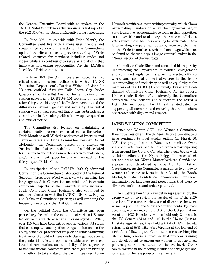the General Executive Board with an update on the IATSE Pride Committee's activities since its last report at the 2021 Mid-Winter General Executive Board meetings.

In June 2021, to coincide with Pride Month, the Committee went live with a more user friendly and stream-lined version of its website. The Committee's updated website continues to provide a variety of Pride related resources for members including guides and videos while also continuing to serve as a platform that facilitates networking opportunities for the IATSE's Local level Pride committees.

In June 2021, the Committee also hosted its first official education session in collaboration with the IATSE Education Department's Patricia White and Jennifer Halpern entitled "Straight Talk About Gay Pride: Questions You Have But Are Too Hesitant to Ask". The session served as a LGBTQ+ 101 focusing on, among other things, the history of the Pride movement and the differences between gender and sexuality. The initial session was so well received that it was re-broadcast a second time in June along with a follow-up live question and answer period.

The Committee also focused on maintaining a sustained daily presence on social media throughout Pride Month as well. With the assistance of International Representative and Pride Committee member Rachel McLendon, the Committee posted on a graphic on Facebook that featured a definition of a Pride related term, a link to one of the Committee's educational videos, and/or a prominent queer history icon on each of the thirty days of Pride Month.

In anticipation of the IATSE's 69th Quadrennial Convention, the Committee collaborated with the General Secretary-Treasurer Wood with a view to ensuring the language used in Convention materials and in certain ceremonial aspects of the Convention was inclusive. Pride Committee Chair Richmond also continued to make collaboration with the IATSE's Diversity, Equity, and Inclusion Committee a priority, as well attending the biweekly meetings of the DEI Committee.

On the political front, the Committee has been particularly focused on the multitude of various US state legislative bills which reflect an anti-trans agenda. In 2021, over 115 bills have been introduced in various US states that contemplate, among other things, limitations on the ability of medical practitioners to provide gender-affirming treatments, the ability of trans kids to play organized sports, the gender identification options available on government issued documentation, and the ability of trans persons to use washrooms consistent with their gender identity. In an effort to take a stand, the Committee used Action

Network to initiate a letter-writing campaign which allows participating members to email their governor and/or state legislative representative to confirm their opposition to all such bills and to also urge their elected official to vote against them. Members wishing to participate in this letter-writing campaign can do so by accessing the links on the Pride Committee's website home page which can be found on the web page's image carousel and/or in the "News" section of the web page.

Committee Chair Richmond concluded his report by underscoring the importance of political engagement and continued vigilance in supporting elected officials who advance political and legislative agendas that foster understanding and inclusivity as well as equal rights for members of the LGBTQ+ community. President Loeb thanked Committee Chair Richmond for his report. Under Chair Richmond's leadership the Committee offered valuable benefits and support to the IATSE's LGTBQ+ members. The IATSE is dedicated to supporting all members and ensuring that all members are treated with dignity and respect.

#### **IATSE WOMEN'S COMMITTEE**

Since the Winter GEB, the Women's Committee Executive Council and the thirteen District Coordinators have continued to meet weekly online. On March 10, 2021, the group hosted a Women's Committee Event via Zoom with over one hundred women participating from around the US and Canada. The event began with an introduction to the Myers Briggs Indicator which set the stage for Words Matter/Activate Confidence, a presentation developed by Lucia Aloi, 10th District Coordinator. As the Committee's mission is to empower women to become activists in their Locals, the Words Matter/Activate Confidence presentation provided information on language and perceptions that work to diminish confidence and reduce potential.

To illustrate how this plays out in representation, the group went on to review the results of the of the 2020 elections. The numbers show a real disconnect between women's potential and their accomplishments. By most accounts, women make up 51.1% of the US population. As of the 2020 Elections, women hold only 24 seats in the US Senate (24%) and 110 in the House (25.2%). In state legislatures, they hold a total of 28%. Nevada reigns high at 58% with West Virginia at the low end of 11%. As a follow up, the Committee is researching She Should Run, a national program that provides training and development to encourage women to get involved politically at the local, state, and federal levels. Other topics covered in the meeting included the wage gap and its impact on female poverty in retirement.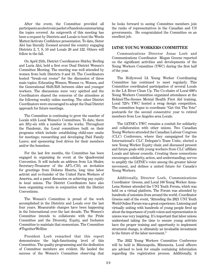After the event, the Committee provided all participants an electronic packet of handouts summarizing the topics covered. An outgrowth of this meeting has been a request by Districts and Locals to host the Words Matter/Activate Confidence presentation. To date, Sister Aloi has literally Zoomed around the country engaging Districts 2, 7, 9, 10 and Locals 28 and 122. Others will follow in the fall.

On April 25th, District Coordinators Shirley Berling and Lucia Aloi, held a first ever Dual District Women's Committee Meeting. The meeting was well attended by women from both Districts 9 and 10. The Coordinators hosted "break-out rooms" for the discussion of three main topics; Educating Women, Women vs. Women, and the Generational Shift/Rift between older and younger workers. The discussions were very spirited and the Coordinators shared the concerns of the attendees at the following weekly online meeting. The other District Coordinators were encouraged to adopt the Dual District approach for future meetings.

The Committee is continuing to grow the number of Locals with Local Women's Committees. To date, there are fifty-six with a number in the works. Throughout the Pandemic, the Local committees built on their programs which include: establishing child-care onsite for meetings; researching and developing Paid Family Leave; and sponsoring food drives for their members and/or the homeless.

For the last few months, the Committee has been engaged in organizing its event at the Quadrennial Convention. It will include an address from Liz Shuler, Secretary-Treasurer of the AFL-CIO, an invitation for greetings from Dolores Huerta, long time labor activist and co-founder of the United Farm Workers of America, and a panel discussion on achieving pay equity in local unions. The District Coordinators have also been organizing events in conjunction with the District Conventions.

The Women's Committee is proud of the work accomplished in the Districts and Locals over the last four years. Measurable changes have been happening in the International over the last decade. The Women's Committee intends to collaborate with the Pride Committee and the Diversity, Equity, and Inclusion Committee to maintain that momentum. The Committee #TogetherWeRise

President Loeb remarked that this report demonstrates the high-functioning level of this Committee. The quality programming and the dedication of Committee members are evident. He lauded the success of the Women's Committee observing that he looks forward to seeing Committee members join the ranks of representatives in the Canadian and US governments. He congratulated the Committee on an excellent job.

#### **IATSE YOUNG WORKERS COMMITTEE**

Communications Director Jonas Loeb and Communications Coordinator Megan Greene reported on the significant activities and developments of the Young Workers Committee (YWC) during the first half of the year.

The Hollywood IA Young Worker Coordinating Committee has continued to meet regularly. This Committee coordinated participation of several Locals in the LA River Clean Up. The Co-chairs of Local 600's Young Workers Committee organized attendance at the Behind-The-Scenes Mental Health First Aid training. Local 729's YWC hosted a swag design competition. The committee hopes to coordinate "Get Out The Vote" postcards for the second consecutive year to retired members from Los Angeles area Locals.

The IATSE's YWC remains a conduit for solidarity and collaboration with other unions. Two Canadian Young Workers attended the Canadian Labour Congress (CLC) Conference, where they campaigned for the International's CLC Delegate's Team Unite, elected a new Young Worker Equity chair, and discussed present and future goals with young workers from CLC affiliate Locals and labour councils. Creating these connections encourages solidarity, action, and understanding; serves to amplify the IATSE's voice among the greater labour movement, and defines a united future for Canada's Young Workers.

Additionally, Director Loeb, Communications Coordinator Greene, and Local 168 Young Worker Anna-Lena Steiner attended the UNI Youth Forum, which was held on a virtual platform. The Forum was attended by hundreds of unionists from around the world. Coordinator Greene said of the event, "Attending the 2021 UNI Youth World Online Forum was a great experience. Listening and virtually uniting with hundreds of young people fired up about the importance of youth voices and representation in unions was very inspiring. It's important that labor unions understand taking the time to ensure young activists have the proper training and opportunity to implement structural change, is ultimately an invaluable investment in the future of the labor movement."

The 2022 Young Workers Committee Conference will be held in Minneapolis, Minnesota. Local officers are advised to look for emails containing information regarding the registration process. Additionally, it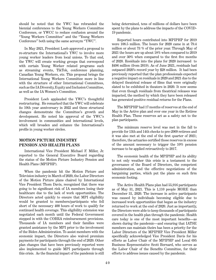should be noted that the YWC has rebranded the biennial conferences to the Young Workers Committee Conference, or YWCC to reduce confusion around the "Young Workers Committee" and the "Young Workers Conference" both using the same acronym "YWC".

In May 2021, President Loeb approved a proposal to re-structure the International's YWC to involve more young worker leaders from local unions. To that end, the YWC will create working groups that correspond with certain Young Worker related programs such as streaming events, TikTok, conference planning, Canadian Young Workers, etc. This proposal brings the International Young Workers Committee more in line with the structure of other International Committees, such as the IA Diversity, Equity and Inclusion Committee, as well as the IA Women's Committee.

President Loeb applauded the YWC's thoughtful restructuring. He remarked that the YWC will celebrate its 10th year anniversary in 2022 and these structural changes demonstrate the Committee's growth and development. He noted his approval of the YWC's involvement in communities and international levels, which will broaden and enhance the International's profile in young worker circles.

#### **MOTION PICTURE INDUSTRY PENSION AND HEALTH PLANS**

International Vice President Michael F. Miller, Jr. reported to the General Executive Board regarding the status of the Motion Picture Industry Pension and Health Plans (MPIPHP).

When the pandemic hit the Motion Picture and Television industry in March of 2020, the Labor Directors of the Motion Picture plans chaired by International Vice President Thom Davis, recognized that there was going to be significant risk of IA members losing their healthcare due to the lack of work opportunities. The Directors acted quickly to ensure that MPI eligibility would be granted to members/participants who fell short of the necessary 400 hours of work to qualify for continued health coverage. This eligibility extension was negotiated each month until the Federal Government stepped in with the COBRA reimbursement provisions. Thousands of IA members and their families were granted assistance by the MPI prior to the involvement of the Biden Administration. To assist members with the economic impact, the Directors also waived premium payments for participants through the end of 2020. Other plan changes that have been previously reported were also implemented to guide MPI participants through this crisis. As the financial impact of the pandemic is still

being determined, tens of millions of dollars have been spent by the plans to address the impacts of the COVID-19 pandemic.

Reported hours contributed into MPIPHP for 2019 were 108.5 million. The hours for 2020 came in at 79.4 million or about 73 % of the prior year. Through May of 2021 the hours are up about 18% when compared to 2019 and over 30% when compared to the first five months of 2020. Residuals into the plans for 2020 increased to \$496 million (from 2019). As of June 2021, residuals had outpaced 2020's record year by \$28 million. It had been previously reported that the plan professionals expected a negative impact on residuals in 2020 and 2021 due to the delayed theatrical release of films that were originally slated to be exhibited in theaters in 2020. It now seems that even though residuals from theatrical releases was impacted, the method by which they have been released has generated positive residual returns for the Plans.

The MPIPHP had 17 months of reserves at the end of May in the Active plan and over one year in the Retiree Health Plan. These reserves act as a safety net to the plan participants.

The minimum reserve level was met in the fall to provide for 13th and 14th checks to pre-2009 retirees and it was also met at the end of the first quarter of 2021; therefore, the actuaries certified those reserves in excess of the amount necessary to trigger the 10% pension increase to be applied retroactively to 2017.

The economic health of the MPIPHP and its ability to not only weather this crisis is a testament to the governance of the Board of Directors, the competent administration, and the effective negotiations of the bargaining parties, which put the plans on such firm economic footing.

The Active Health Plans plan had 55,916 participants as of May 31, 2021. This is 1,110 people MORE than December 31, 2020. The increase in active participants was caused by individuals becoming eligible due to increased work opportunities that began as the industry returned to work at the end of 2020. Just as importantly, the Directors were able to keep thousands of participants covered in the health plan through the pandemic. Health care today is one of the most important benefits—as shown during the pandemic—and ensuring that IATSE members can maintain theirs has been a priority for the Labor Directors of the MPIPHP. Vice President Miller specifically acknowledged Vice President Davis for his efforts as Labor Chair of the MPIPHP and Local 695 Business Representative Scott Bernard, who serves as the Labor Chair of the Benefits Committee, for their efforts to address issues caused by the pandemic.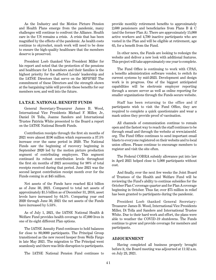As the Industry and the Motion Picture Pension and Health Plans emerge from the pandemic, many challenges will continue to confront the Alliance. Health care in the US remains a crisis. A crisis that has been magnified by the effects of the pandemic. As health costs continue to skyrocket, much work will need to be done to ensure the high-quality healthcare that the members deserve is preserved.

President Loeb thanked Vice President Miller for his report and noted that the protection of the pensions and healthcare for IA members and their families is the highest priority for the affected Locals' leadership and the IATSE Directors that serve on the MPIPHP. The commitment of these Directors and the strength shown at the bargaining table will provide these benefits for our members now, and well into the future.

#### **I.A.T.S.E. NATIONAL BENEFIT FUNDS**

General Secretary-Treasurer James B. Wood, International Vice Presidents Michael F. Miller, Jr., Daniel Di Tolla, Joanne Sanders and International Trustee Patricia White presented to the Board a report on the IATSE National Benefit Funds.

Contribution receipts through the first six months of 2021 were almost \$196 million which represents a 37.5% increase over the same period in 2020. The National Funds saw the beginning of recovery beginning in September 2020 led by the motion picture production segment of contributing employers. This segment continued its robust contribution levels throughout the first six months of 2021 accounting for 90% of total receipts received during that period. June 2021 was the second largest contribution receipt month ever for the Funds coming in at \$45 million.

Net assets of the Funds have reached \$2.4 billion as of June 30, 2021. Compared to total net assets of approximately \$1.5 billion as of December 31, 2016, asset levels have increased by 64.5%. Comparing year end 2020 through June 30, 2021 the net assets of the Funds have increased by 5.53%.

As of July 1, 2021, the IATSE National Health & Welfare Fund provides health coverage to 47,000 lives in one of its eight different Plan options.

The IATSE Annuity Fund continues to hold balances for close to 80,0000 participants. The Principal Group transitioned as the new record keeper from Wells Fargo in late May 2021. The migration to The Principal went seamlessly and there was little disruption to participants.

The IATSE National Pension Fund continues to

provide monthly retirement benefits to approximately 2,600 pensioners and beneficiaries from Plans B & C (and the former Plan A). There are approximately 15,000 active workers and 4,700 inactive participants who are vested in the Plan and will be eligible at retirement, age 65, for a benefit from the Fund.

In other news, the Funds are looking to redesign the website and deliver a new look with additional features. This project will take approximately one year to complete.

The Fund Office is continuing to work with CPAS, a benefits administration software vendor, to switch its current systems by mid-2023. Development and design work is in progress. One of the biggest anticipated capabilities will be electronic employer reporting through a secure server as well as online reporting for smaller organizations through the Funds secure website.

Staff has been returning to the office and if participants wish to visit the Fund Office, they are required to complete a quick questionnaire and wear a mask unless they provide proof of vaccination.

All channels of communication continue to remain open and the fastest way to reach the staff continues to be through email and through the website at www.iatsenbf. org. The Fund Office continues to send important email blasts to everyone registered on their website and to local union offices. Please continue to encourage members to register and visit the site often.

The Federal COBRA subsidy allowance put into law in April 2021 helped close to 5,000 participants without cost.

And finally, over the next few weeks the Joint Board of Trustees of the Health and Welfare Fund will be reviewing the Fund's ability to continue subsidies for the October Plan C coverage quarter and for Plan A coverage beginning in October. Thus far, over \$75 million in relief has been granted to participants during the pandemic.

President Loeb thanked General Secretary-Treasurer James B. Wood, International Vice Presidents Miller, Di Tolla and Sanders and International Trustee White. Due to their hard work and effort, the plans were able to weather the COVID-19 shutdowns. The Funds continue to grow and provide coverage for members and participants.

#### **ADJOURNMENT**

Having completed all business properly brought before it, the Board meeting was adjourned at 11:32 a.m. on July 23, 2021.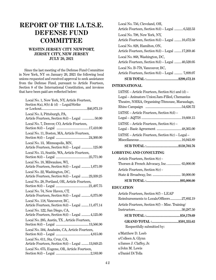## **REPORT OF THE I.A.T.S.E. DEFENSE FUND COMMITTEE**

#### **WESTIN JERSEY CITY NEWPORT, JERSEY CITY, NEW JERSEY JULY 20, 2021**

Since the last meeting of the Defense Fund Committee in New York, NY on January 26, 2021 the following local unions requested and received approval to seek assistance from the Defense Fund, pursuant to Article Fourteen, Section 8 of the International Constitution, and invoices that have been paid are reflected below:

| Local No. 1, New York, NY, Article Fourteen,<br>Section 8(a), 8(b) & (d) - Legal/Strike |
|-----------------------------------------------------------------------------------------|
| Local No. 3, Pittsburgh, PA,<br>Article Fourteen, Section 8(d) - Legal  50.00           |
| Local No. 7, Denver, CO, Article Fourteen,                                              |
| Local No. 11, Boston, MA, Article Fourteen,                                             |
| Local No. 13, Minneapolis, MN,<br>Article Fourteen, Section 8(d) - Legal  125.00        |
| Local No. 15, Seattle, WA, Article Fourteen,                                            |
| Local No. 18, Milwaukee, WI,<br>Article Fourteen, Section 8(d) - Legal  1,671.09        |
| Local No. 22, Washington, DC,<br>Article Fourteen, Section 8(d) - Legal 23,339.25       |
| Local No. 28, Portland, OR, Article Fourteen,                                           |
| Local No. 74, New Haven, CT,<br>Article Fourteen, Section 8(d) - Legal  6,375.00        |
| Local No. 118, Vancouver, BC,<br>Article Fourteen, Section 8(d) - Legal 11,477.14       |
| Local No. 122, San Diego, CA,<br>Article Fourteen, Section 8(d) - Legal  4,125.00       |
| Local No. 205, Austin, TX, Article Fourteen,                                            |
| Local No. 504, Anaheim, CA, Article Fourteen,                                           |
| Local No. 611, Sta. Cruz, CA,<br>Article Fourteen, Section 8(d) - Legal  13,049.25      |
| Local No. 675, Eugene, OR, Article Fourteen,                                            |

| Local No. 756, Cleveland, OH,<br>Article Fourteen, Section 8(d) – Legal 6,522.53    |
|-------------------------------------------------------------------------------------|
| Local No. 798, New York, NY,<br>Article Fourteen, Section 8(d) – Legal 10,472.50    |
| Local No. 828, Hamilton, ON.<br>Article Fourteen, Section 8(d) – Legal 17,269.46    |
| Local No. 868, Washington, DC,<br>Article Fourteen, Section 8(d) - Legal 40,520.05  |
| Local No. B-778, Vancouver, BC,<br>Article Fourteen, Section 8(d) – Legal  7,899.07 |
|                                                                                     |

#### **INTERNATIONAL**

| $IATSE - Article Fourteen, Section 8(c) and (d) -$ |  |  |
|----------------------------------------------------|--|--|
| Legal - Animators Union/Jam-Filled, Chemanius      |  |  |
| Theatre, NHRA, Organizing-Titmouse, Maraudage,     |  |  |
|                                                    |  |  |
| IATSE – Article Fourteen, Section 8(d) –           |  |  |
|                                                    |  |  |
| IATSE – Article Fourteen, Section 8(c) –           |  |  |
|                                                    |  |  |
| IATSE – Article Fourteen, Section 8(c) – Legal –   |  |  |
|                                                    |  |  |
|                                                    |  |  |

#### **LOBBYING AND CONSULTING**

| Article Fourteen, Section 8(c) -           |  |
|--------------------------------------------|--|
| Thorsen & French Advocacy, Inc.  65,000.00 |  |
| Article Fourteen, Section 8(c) -           |  |

#### **EDUCATION**

| Article Fourteen, Section 8(f) - LEAP            |  |
|--------------------------------------------------|--|
| Reimbursements to Locals/Officers27,892.19       |  |
| Article Fourteen, Section 8(f) – Misc. Training/ |  |
|                                                  |  |
|                                                  |  |
|                                                  |  |
| Respectfully submitted by:                       |  |
|                                                  |  |

s/Matthew D. Loeb s/Colleen A. Glynn s/James J. Claffey, Jr. s/John M. Lewis s/Daniel Di Tolla